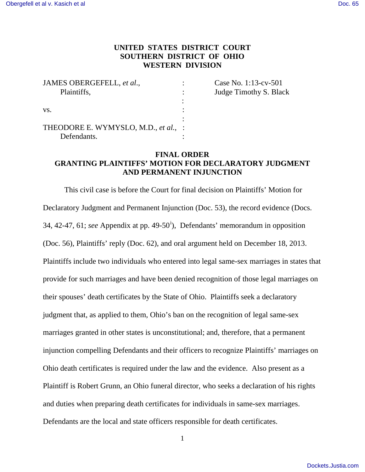# **UNITED STATES DISTRICT COURT SOUTHERN DISTRICT OF OHIO WESTERN DIVISION**

| JAMES OBERGEFELL, et al.,            | Case No. 1:13-cv-501   |
|--------------------------------------|------------------------|
| Plaintiffs,                          | Judge Timothy S. Black |
|                                      |                        |
| VS.                                  |                        |
|                                      |                        |
| THEODORE E. WYMYSLO, M.D., et al., : |                        |
| Defendants.                          |                        |

# **FINAL ORDER GRANTING PLAINTIFFS' MOTION FOR DECLARATORY JUDGMENT AND PERMANENT INJUNCTION**

This civil case is before the Court for final decision on Plaintiffs' Motion for Declaratory Judgment and Permanent Injunction (Doc. 53), the record evidence (Docs. 34, 42-47, 61; *see* Appendix at pp. 49-50[i](#page-48-0) ), Defendants' memorandum in opposition (Doc. 56), Plaintiffs' reply (Doc. 62), and oral argument held on December 18, 2013. Plaintiffs include two individuals who entered into legal same-sex marriages in states that provide for such marriages and have been denied recognition of those legal marriages on their spouses' death certificates by the State of Ohio. Plaintiffs seek a declaratory judgment that, as applied to them, Ohio's ban on the recognition of legal same-sex marriages granted in other states is unconstitutional; and, therefore, that a permanent injunction compelling Defendants and their officers to recognize Plaintiffs' marriages on Ohio death certificates is required under the law and the evidence. Also present as a Plaintiff is Robert Grunn, an Ohio funeral director, who seeks a declaration of his rights and duties when preparing death certificates for individuals in same-sex marriages. Defendants are the local and state officers responsible for death certificates.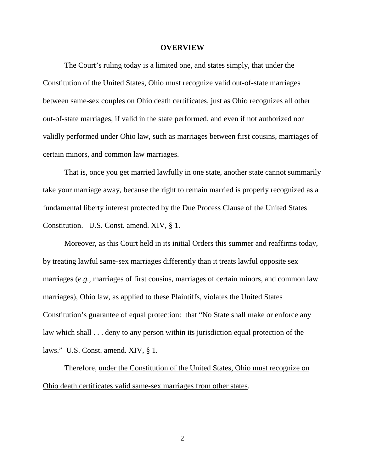#### **OVERVIEW**

The Court's ruling today is a limited one, and states simply, that under the Constitution of the United States, Ohio must recognize valid out-of-state marriages between same-sex couples on Ohio death certificates, just as Ohio recognizes all other out-of-state marriages, if valid in the state performed, and even if not authorized nor validly performed under Ohio law, such as marriages between first cousins, marriages of certain minors, and common law marriages.

That is, once you get married lawfully in one state, another state cannot summarily take your marriage away, because the right to remain married is properly recognized as a fundamental liberty interest protected by the Due Process Clause of the United States Constitution. U.S. Const. amend. XIV, § 1.

Moreover, as this Court held in its initial Orders this summer and reaffirms today, by treating lawful same-sex marriages differently than it treats lawful opposite sex marriages (*e.g.*, marriages of first cousins, marriages of certain minors, and common law marriages), Ohio law, as applied to these Plaintiffs, violates the United States Constitution's guarantee of equal protection: that "No State shall make or enforce any law which shall . . . deny to any person within its jurisdiction equal protection of the laws." U.S. Const. amend. XIV, § 1.

Therefore, under the Constitution of the United States, Ohio must recognize on Ohio death certificates valid same-sex marriages from other states.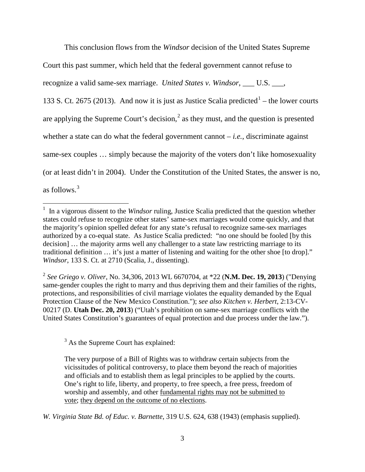This conclusion flows from the *Windsor* decision of the United States Supreme

Court this past summer, which held that the federal government cannot refuse to

recognize a valid same-sex marriage. *United States v. Windsor*, U.S.  $\blacksquare$ 

[1](#page-2-0)33 S. Ct. 2675 (2013). And now it is just as Justice Scalia predicted<sup>1</sup> – the lower courts are applying the Supreme Court's decision, $<sup>2</sup>$  $<sup>2</sup>$  $<sup>2</sup>$  as they must, and the question is presented</sup> whether a state can do what the federal government cannot – *i.e.*, discriminate against same-sex couples … simply because the majority of the voters don't like homosexuality (or at least didn't in 2004). Under the Constitution of the United States, the answer is no, as follows.<sup>[3](#page-2-2)</sup>

2 *See Griego v. Oliver*, No. 34,306, 2013 WL 6670704, at \*22 (**N.M. Dec. 19, 2013**) ("Denying same-gender couples the right to marry and thus depriving them and their families of the rights, protections, and responsibilities of civil marriage violates the equality demanded by the Equal Protection Clause of the New Mexico Constitution."); *see also Kitchen v. Herbert*, 2:13-CV-00217 (D. **Utah Dec. 20, 2013**) ("Utah's prohibition on same-sex marriage conflicts with the United States Constitution's guarantees of equal protection and due process under the law.").

<span id="page-2-1"></span><sup>3</sup> As the Supreme Court has explained:

The very purpose of a Bill of Rights was to withdraw certain subjects from the vicissitudes of political controversy, to place them beyond the reach of majorities and officials and to establish them as legal principles to be applied by the courts. One's right to life, liberty, and property, to free speech, a free press, freedom of worship and assembly, and other fundamental rights may not be submitted to vote; they depend on the outcome of no elections.

<span id="page-2-2"></span>*W. Virginia State Bd. of Educ. v. Barnette*, 319 U.S. 624, 638 (1943) (emphasis supplied).

<span id="page-2-0"></span><sup>&</sup>lt;sup>1</sup> In a vigorous dissent to the *Windsor* ruling, Justice Scalia predicted that the question whether states could refuse to recognize other states' same-sex marriages would come quickly, and that the majority's opinion spelled defeat for any state's refusal to recognize same-sex marriages authorized by a co-equal state. As Justice Scalia predicted: "no one should be fooled [by this decision] … the majority arms well any challenger to a state law restricting marriage to its traditional definition … it's just a matter of listening and waiting for the other shoe [to drop]." *Windsor*, 133 S. Ct. at 2710 (Scalia, J., dissenting).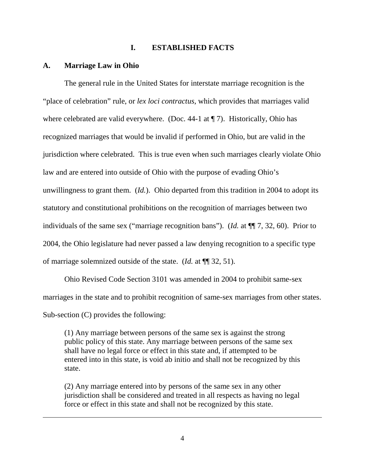### **I. ESTABLISHED FACTS**

#### **A. Marriage Law in Ohio**

<u>.</u>

 The general rule in the United States for interstate marriage recognition is the "place of celebration" rule, or *lex loci contractus*, which provides that marriages valid where celebrated are valid everywhere. (Doc. 44-1 at  $\P$  7). Historically, Ohio has recognized marriages that would be invalid if performed in Ohio, but are valid in the jurisdiction where celebrated. This is true even when such marriages clearly violate Ohio law and are entered into outside of Ohio with the purpose of evading Ohio's unwillingness to grant them. (*Id.*). Ohio departed from this tradition in 2004 to adopt its statutory and constitutional prohibitions on the recognition of marriages between two individuals of the same sex ("marriage recognition bans"). (*Id.* at ¶¶ 7, 32, 60). Prior to 2004, the Ohio legislature had never passed a law denying recognition to a specific type of marriage solemnized outside of the state. (*Id.* at ¶¶ 32, 51).

 Ohio Revised Code Section 3101 was amended in 2004 to prohibit same-sex marriages in the state and to prohibit recognition of same-sex marriages from other states. Sub-section (C) provides the following:

(1) Any marriage between persons of the same sex is against the strong public policy of this state. Any marriage between persons of the same sex shall have no legal force or effect in this state and, if attempted to be entered into in this state, is void ab initio and shall not be recognized by this state.

(2) Any marriage entered into by persons of the same sex in any other jurisdiction shall be considered and treated in all respects as having no legal force or effect in this state and shall not be recognized by this state.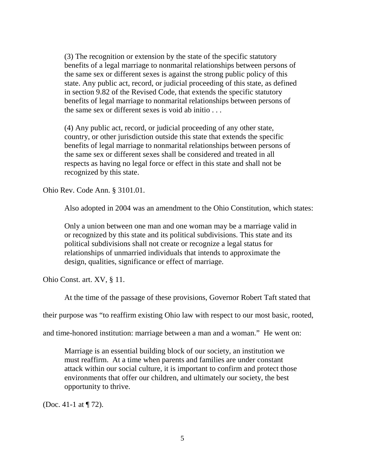(3) The recognition or extension by the state of the specific statutory benefits of a legal marriage to nonmarital relationships between persons of the same sex or different sexes is against the strong public policy of this state. Any public act, record, or judicial proceeding of this state, as defined in section 9.82 of the Revised Code, that extends the specific statutory benefits of legal marriage to nonmarital relationships between persons of the same sex or different sexes is void ab initio . . .

(4) Any public act, record, or judicial proceeding of any other state, country, or other jurisdiction outside this state that extends the specific benefits of legal marriage to nonmarital relationships between persons of the same sex or different sexes shall be considered and treated in all respects as having no legal force or effect in this state and shall not be recognized by this state.

Ohio Rev. Code Ann. § 3101.01.

Also adopted in 2004 was an amendment to the Ohio Constitution, which states:

Only a union between one man and one woman may be a marriage valid in or recognized by this state and its political subdivisions. This state and its political subdivisions shall not create or recognize a legal status for relationships of unmarried individuals that intends to approximate the design, qualities, significance or effect of marriage.

Ohio Const. art. XV, § 11.

At the time of the passage of these provisions, Governor Robert Taft stated that

their purpose was "to reaffirm existing Ohio law with respect to our most basic, rooted,

and time-honored institution: marriage between a man and a woman." He went on:

Marriage is an essential building block of our society, an institution we must reaffirm. At a time when parents and families are under constant attack within our social culture, it is important to confirm and protect those environments that offer our children, and ultimately our society, the best opportunity to thrive.

(Doc. 41-1 at ¶ 72).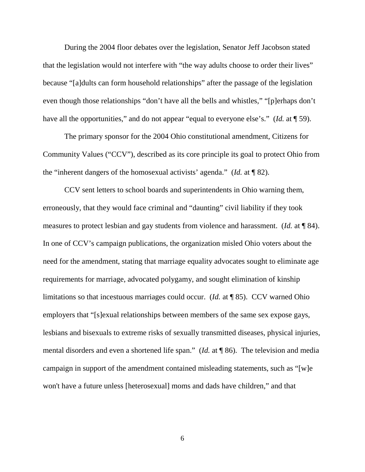During the 2004 floor debates over the legislation, Senator Jeff Jacobson stated that the legislation would not interfere with "the way adults choose to order their lives" because "[a]dults can form household relationships" after the passage of the legislation even though those relationships "don't have all the bells and whistles," "[p]erhaps don't have all the opportunities," and do not appear "equal to everyone else's." (*Id.* at  $\P$  59).

 The primary sponsor for the 2004 Ohio constitutional amendment, Citizens for Community Values ("CCV"), described as its core principle its goal to protect Ohio from the "inherent dangers of the homosexual activists' agenda." (*Id.* at ¶ 82).

CCV sent letters to school boards and superintendents in Ohio warning them, erroneously, that they would face criminal and "daunting" civil liability if they took measures to protect lesbian and gay students from violence and harassment. (*Id.* at ¶ 84). In one of CCV's campaign publications, the organization misled Ohio voters about the need for the amendment, stating that marriage equality advocates sought to eliminate age requirements for marriage, advocated polygamy, and sought elimination of kinship limitations so that incestuous marriages could occur. (*Id.* at ¶ 85). CCV warned Ohio employers that "[s]exual relationships between members of the same sex expose gays, lesbians and bisexuals to extreme risks of sexually transmitted diseases, physical injuries, mental disorders and even a shortened life span." (*Id.* at ¶ 86). The television and media campaign in support of the amendment contained misleading statements, such as "[w]e won't have a future unless [heterosexual] moms and dads have children," and that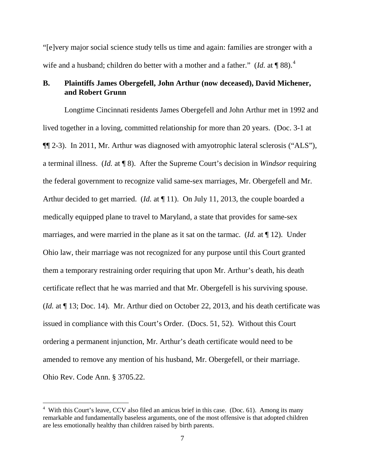"[e]very major social science study tells us time and again: families are stronger with a wife and a husband; children do better with a mother and a father." (*Id.* at  $\P$ 88).<sup>[4](#page-6-0)</sup>

# **B. Plaintiffs James Obergefell, John Arthur (now deceased), David Michener, and Robert Grunn**

Longtime Cincinnati residents James Obergefell and John Arthur met in 1992 and lived together in a loving, committed relationship for more than 20 years. (Doc. 3-1 at ¶¶ 2-3). In 2011, Mr. Arthur was diagnosed with amyotrophic lateral sclerosis ("ALS"), a terminal illness. (*Id.* at ¶ 8). After the Supreme Court's decision in *Windsor* requiring the federal government to recognize valid same-sex marriages, Mr. Obergefell and Mr. Arthur decided to get married. (*Id.* at  $\P$  11). On July 11, 2013, the couple boarded a medically equipped plane to travel to Maryland, a state that provides for same-sex marriages, and were married in the plane as it sat on the tarmac. (*Id.* at ¶ 12). Under Ohio law, their marriage was not recognized for any purpose until this Court granted them a temporary restraining order requiring that upon Mr. Arthur's death, his death certificate reflect that he was married and that Mr. Obergefell is his surviving spouse. (*Id.* at ¶ 13; Doc. 14). Mr. Arthur died on October 22, 2013, and his death certificate was issued in compliance with this Court's Order. (Docs. 51, 52). Without this Court ordering a permanent injunction, Mr. Arthur's death certificate would need to be amended to remove any mention of his husband, Mr. Obergefell, or their marriage. Ohio Rev. Code Ann. § 3705.22.

<u>.</u>

<span id="page-6-0"></span><sup>&</sup>lt;sup>4</sup> With this Court's leave, CCV also filed an amicus brief in this case. (Doc. 61). Among its many remarkable and fundamentally baseless arguments, one of the most offensive is that adopted children are less emotionally healthy than children raised by birth parents.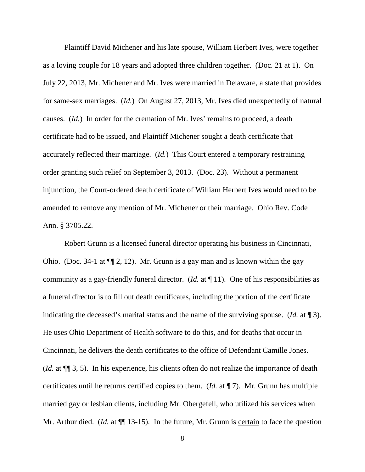Plaintiff David Michener and his late spouse, William Herbert Ives, were together as a loving couple for 18 years and adopted three children together. (Doc. 21 at 1). On July 22, 2013, Mr. Michener and Mr. Ives were married in Delaware, a state that provides for same-sex marriages. (*Id.*) On August 27, 2013, Mr. Ives died unexpectedly of natural causes. (*Id.*) In order for the cremation of Mr. Ives' remains to proceed, a death certificate had to be issued, and Plaintiff Michener sought a death certificate that accurately reflected their marriage. (*Id.*) This Court entered a temporary restraining order granting such relief on September 3, 2013. (Doc. 23). Without a permanent injunction, the Court-ordered death certificate of William Herbert Ives would need to be amended to remove any mention of Mr. Michener or their marriage. Ohio Rev. Code Ann. § 3705.22.

 Robert Grunn is a licensed funeral director operating his business in Cincinnati, Ohio. (Doc. 34-1 at ¶¶ 2, 12). Mr. Grunn is a gay man and is known within the gay community as a gay-friendly funeral director. (*Id.* at ¶ 11). One of his responsibilities as a funeral director is to fill out death certificates, including the portion of the certificate indicating the deceased's marital status and the name of the surviving spouse. (*Id.* at ¶ 3). He uses Ohio Department of Health software to do this, and for deaths that occur in Cincinnati, he delivers the death certificates to the office of Defendant Camille Jones. (*Id.* at ¶¶ 3, 5). In his experience, his clients often do not realize the importance of death certificates until he returns certified copies to them. (*Id.* at ¶ 7). Mr. Grunn has multiple married gay or lesbian clients, including Mr. Obergefell, who utilized his services when Mr. Arthur died. (*Id.* at  $\P$  13-15). In the future, Mr. Grunn is certain to face the question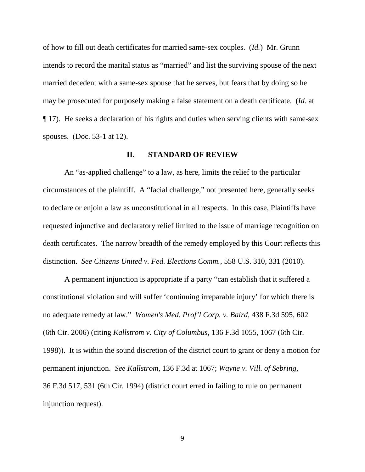of how to fill out death certificates for married same-sex couples. (*Id.*) Mr. Grunn intends to record the marital status as "married" and list the surviving spouse of the next married decedent with a same-sex spouse that he serves, but fears that by doing so he may be prosecuted for purposely making a false statement on a death certificate. (*Id.* at ¶ 17). He seeks a declaration of his rights and duties when serving clients with same-sex spouses. (Doc. 53-1 at 12).

## **II. STANDARD OF REVIEW**

 An "as-applied challenge" to a law, as here, limits the relief to the particular circumstances of the plaintiff. A "facial challenge," not presented here, generally seeks to declare or enjoin a law as unconstitutional in all respects. In this case, Plaintiffs have requested injunctive and declaratory relief limited to the issue of marriage recognition on death certificates. The narrow breadth of the remedy employed by this Court reflects this distinction. *See Citizens United v. Fed. Elections Comm.*, 558 U.S. 310, 331 (2010).

 A permanent injunction is appropriate if a party "can establish that it suffered a constitutional violation and will suffer 'continuing irreparable injury' for which there is no adequate remedy at law." *Women's Med. Prof'l Corp. v. Baird*, 438 F.3d 595, 602 (6th Cir. 2006) (citing *Kallstrom v. City of Columbus*, 136 F.3d 1055, 1067 (6th Cir. 1998)). It is within the sound discretion of the district court to grant or deny a motion for permanent injunction. *See Kallstrom*, 136 F.3d at 1067; *Wayne v. Vill. of Sebring*, 36 F.3d 517, 531 (6th Cir. 1994) (district court erred in failing to rule on permanent injunction request).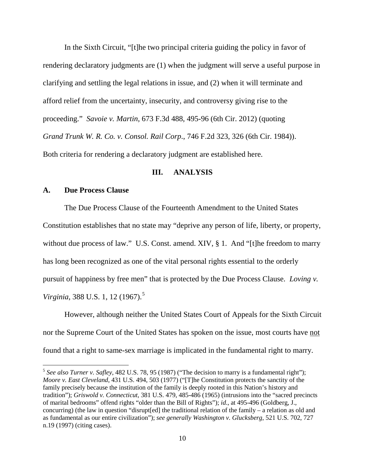In the Sixth Circuit, "[t]he two principal criteria guiding the policy in favor of rendering declaratory judgments are (1) when the judgment will serve a useful purpose in clarifying and settling the legal relations in issue, and (2) when it will terminate and afford relief from the uncertainty, insecurity, and controversy giving rise to the proceeding." *Savoie v. Martin*, 673 F.3d 488, 495-96 (6th Cir. 2012) (quoting *Grand Trunk W. R. Co. v. Consol. Rail Corp*., 746 F.2d 323, 326 (6th Cir. 1984)). Both criteria for rendering a declaratory judgment are established here.

### **III. ANALYSIS**

### **A. Due Process Clause**

 $\overline{a}$ 

 The Due Process Clause of the Fourteenth Amendment to the United States Constitution establishes that no state may "deprive any person of life, liberty, or property, without due process of law." U.S. Const. amend. XIV, § 1. And "[t]he freedom to marry has long been recognized as one of the vital personal rights essential to the orderly pursuit of happiness by free men" that is protected by the Due Process Clause. *Loving v. Virginia*, 388 U.S. 1, 12 (1967).<sup>[5](#page-9-0)</sup>

However, although neither the United States Court of Appeals for the Sixth Circuit nor the Supreme Court of the United States has spoken on the issue, most courts have not found that a right to same-sex marriage is implicated in the fundamental right to marry.

<span id="page-9-0"></span><sup>5</sup> *See also Turner v. Safley*, 482 U.S. 78, 95 (1987) ("The decision to marry is a fundamental right"); *Moore v. East Cleveland*, 431 U.S. 494, 503 (1977) ("[T]he Constitution protects the sanctity of the family precisely because the institution of the family is deeply rooted in this Nation's history and tradition"); *Griswold v. Connecticut*, 381 U.S. 479, 485-486 (1965) (intrusions into the "sacred precincts of marital bedrooms" offend rights "older than the Bill of Rights"); *id*., at 495-496 (Goldberg, J., concurring) (the law in question "disrupt[ed] the traditional relation of the family – a relation as old and as fundamental as our entire civilization"); *see generally Washington v. Glucksberg*, 521 U.S. 702, 727 n.19 (1997) (citing cases).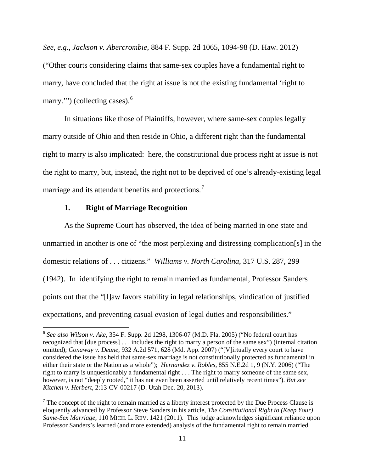*See, e.g., Jackson v. Abercrombie*, 884 F. Supp. 2d 1065, 1094-98 (D. Haw. 2012) ("Other courts considering claims that same-sex couples have a fundamental right to marry, have concluded that the right at issue is not the existing fundamental 'right to marry.'") (collecting cases).<sup>[6](#page-10-0)</sup>

In situations like those of Plaintiffs, however, where same-sex couples legally marry outside of Ohio and then reside in Ohio, a different right than the fundamental right to marry is also implicated: here, the constitutional due process right at issue is not the right to marry, but, instead, the right not to be deprived of one's already-existing legal marriage and its attendant benefits and protections.<sup>[7](#page-10-1)</sup>

# **1. Right of Marriage Recognition**

 $\overline{a}$ 

 As the Supreme Court has observed, the idea of being married in one state and unmarried in another is one of "the most perplexing and distressing complication[s] in the domestic relations of . . . citizens." *Williams v. North Carolina*, 317 U.S. 287, 299 (1942). In identifying the right to remain married as fundamental, Professor Sanders points out that the "[l]aw favors stability in legal relationships, vindication of justified expectations, and preventing casual evasion of legal duties and responsibilities."

<span id="page-10-0"></span><sup>6</sup> *See also Wilson v. Ake*, 354 F. Supp. 2d 1298, 1306-07 (M.D. Fla. 2005) ("No federal court has recognized that [due process] . . . includes the right to marry a person of the same sex") (internal citation omitted); *Conaway v. Deane*, 932 A.2d 571, 628 (Md. App. 2007) ("[V]irtually every court to have considered the issue has held that same-sex marriage is not constitutionally protected as fundamental in either their state or the Nation as a whole"); *Hernandez v. Robles*, 855 N.E.2d 1, 9 (N.Y. 2006) ("The right to marry is unquestionably a fundamental right . . . The right to marry someone of the same sex, however, is not "deeply rooted," it has not even been asserted until relatively recent times"). *But see Kitchen v. Herbert*, 2:13-CV-00217 (D. Utah Dec. 20, 2013).

<span id="page-10-1"></span> $<sup>7</sup>$  The concept of the right to remain married as a liberty interest protected by the Due Process Clause is</sup> eloquently advanced by Professor Steve Sanders in his article, *The Constitutional Right to (Keep Your) Same-Sex Marriage*, 110 MICH. L. REV. 1421 (2011). This judge acknowledges significant reliance upon Professor Sanders's learned (and more extended) analysis of the fundamental right to remain married.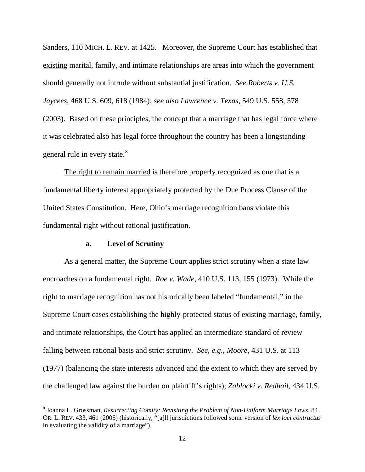Sanders, 110 MICH. L. REV. at 1425. Moreover, the Supreme Court has established that existing marital, family, and intimate relationships are areas into which the government should generally not intrude without substantial justification. *See Roberts v. U.S. Jaycees*, 468 U.S. 609, 618 (1984); *see also Lawrence v. Texas*, 549 U.S. 558, 578 (2003). Based on these principles, the concept that a marriage that has legal force where it was celebrated also has legal force throughout the country has been a longstanding general rule in every state.<sup>[8](#page-11-0)</sup>

 The right to remain married is therefore properly recognized as one that is a fundamental liberty interest appropriately protected by the Due Process Clause of the United States Constitution. Here, Ohio's marriage recognition bans violate this fundamental right without rational justification.

## **a. Level of Scrutiny**

<u>.</u>

 As a general matter, the Supreme Court applies strict scrutiny when a state law encroaches on a fundamental right. *Roe v. Wade*, 410 U.S. 113, 155 (1973). While the right to marriage recognition has not historically been labeled "fundamental," in the Supreme Court cases establishing the highly-protected status of existing marriage, family, and intimate relationships, the Court has applied an intermediate standard of review falling between rational basis and strict scrutiny. *See*, *e.g.*, *Moore*, 431 U.S. at 113 (1977) (balancing the state interests advanced and the extent to which they are served by the challenged law against the burden on plaintiff's rights); *Zablocki v. Redhail*, 434 U.S.

<span id="page-11-0"></span><sup>8</sup> Joanna L. Grossman, *Resurrecting Comity: Revisiting the Problem of Non-Uniform Marriage Laws*, 84 OR. L. REV. 433, 461 (2005) (historically, "[a]ll jurisdictions followed some version of *lex loci contractus* in evaluating the validity of a marriage").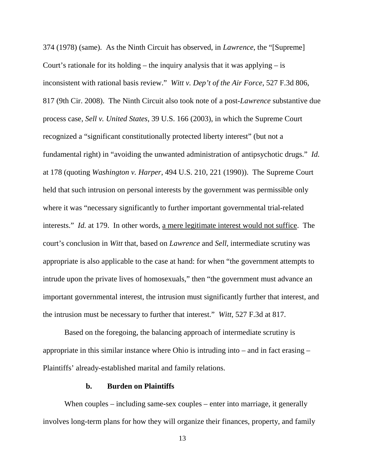374 (1978) (same). As the Ninth Circuit has observed, in *Lawrence*, the "[Supreme] Court's rationale for its holding – the inquiry analysis that it was applying  $-$  is inconsistent with rational basis review." *Witt v. Dep't of the Air Force*, 527 F.3d 806, 817 (9th Cir. 2008). The Ninth Circuit also took note of a post-*Lawrence* substantive due process case, *Sell v. United States*, 39 U.S. 166 (2003), in which the Supreme Court recognized a "significant constitutionally protected liberty interest" (but not a fundamental right) in "avoiding the unwanted administration of antipsychotic drugs." *Id.* at 178 (quoting *Washington v. Harper*, 494 U.S. 210, 221 (1990)). The Supreme Court held that such intrusion on personal interests by the government was permissible only where it was "necessary significantly to further important governmental trial-related interests." *Id.* at 179. In other words, a mere legitimate interest would not suffice. The court's conclusion in *Witt* that, based on *Lawrence* and *Sell*, intermediate scrutiny was appropriate is also applicable to the case at hand: for when "the government attempts to intrude upon the private lives of homosexuals," then "the government must advance an important governmental interest, the intrusion must significantly further that interest, and the intrusion must be necessary to further that interest." *Witt*, 527 F.3d at 817.

 Based on the foregoing, the balancing approach of intermediate scrutiny is appropriate in this similar instance where Ohio is intruding into – and in fact erasing – Plaintiffs' already-established marital and family relations.

#### **b. Burden on Plaintiffs**

When couples – including same-sex couples – enter into marriage, it generally involves long-term plans for how they will organize their finances, property, and family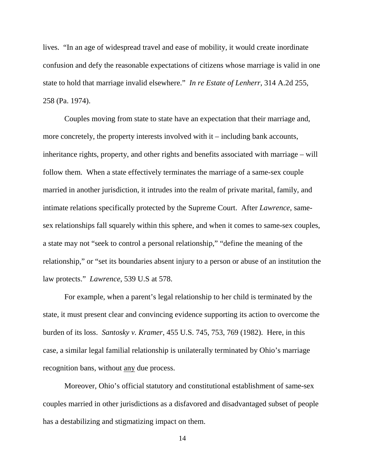lives. "In an age of widespread travel and ease of mobility, it would create inordinate confusion and defy the reasonable expectations of citizens whose marriage is valid in one state to hold that marriage invalid elsewhere." *In re Estate of Lenherr*, 314 A.2d 255, 258 (Pa. 1974).

Couples moving from state to state have an expectation that their marriage and, more concretely, the property interests involved with it – including bank accounts, inheritance rights, property, and other rights and benefits associated with marriage – will follow them. When a state effectively terminates the marriage of a same-sex couple married in another jurisdiction, it intrudes into the realm of private marital, family, and intimate relations specifically protected by the Supreme Court. After *Lawrence*, samesex relationships fall squarely within this sphere, and when it comes to same-sex couples, a state may not "seek to control a personal relationship," "define the meaning of the relationship," or "set its boundaries absent injury to a person or abuse of an institution the law protects." *Lawrence*, 539 U.S at 578.

 For example, when a parent's legal relationship to her child is terminated by the state, it must present clear and convincing evidence supporting its action to overcome the burden of its loss. *Santosky v. Kramer*, 455 U.S. 745, 753, 769 (1982). Here, in this case, a similar legal familial relationship is unilaterally terminated by Ohio's marriage recognition bans, without any due process.

Moreover, Ohio's official statutory and constitutional establishment of same-sex couples married in other jurisdictions as a disfavored and disadvantaged subset of people has a destabilizing and stigmatizing impact on them.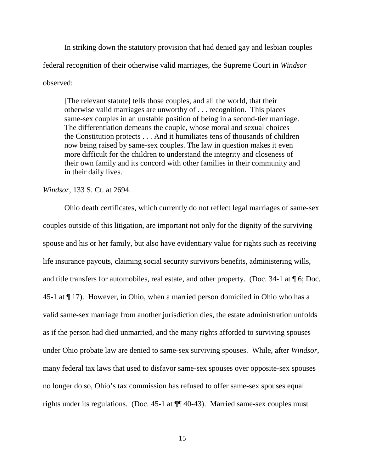In striking down the statutory provision that had denied gay and lesbian couples federal recognition of their otherwise valid marriages, the Supreme Court in *Windsor* observed:

[The relevant statute] tells those couples, and all the world, that their otherwise valid marriages are unworthy of . . . recognition. This places same-sex couples in an unstable position of being in a second-tier marriage. The differentiation demeans the couple, whose moral and sexual choices the Constitution protects . . . And it humiliates tens of thousands of children now being raised by same-sex couples. The law in question makes it even more difficult for the children to understand the integrity and closeness of their own family and its concord with other families in their community and in their daily lives.

*Windsor*, 133 S. Ct. at 2694.

 Ohio death certificates, which currently do not reflect legal marriages of same-sex couples outside of this litigation, are important not only for the dignity of the surviving spouse and his or her family, but also have evidentiary value for rights such as receiving life insurance payouts, claiming social security survivors benefits, administering wills, and title transfers for automobiles, real estate, and other property. (Doc. 34-1 at ¶ 6; Doc. 45-1 at ¶ 17). However, in Ohio, when a married person domiciled in Ohio who has a valid same-sex marriage from another jurisdiction dies, the estate administration unfolds as if the person had died unmarried, and the many rights afforded to surviving spouses under Ohio probate law are denied to same-sex surviving spouses. While, after *Windsor*, many federal tax laws that used to disfavor same-sex spouses over opposite-sex spouses no longer do so, Ohio's tax commission has refused to offer same-sex spouses equal rights under its regulations. (Doc. 45-1 at ¶¶ 40-43). Married same-sex couples must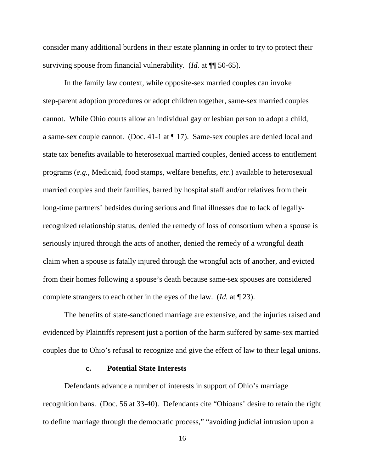consider many additional burdens in their estate planning in order to try to protect their surviving spouse from financial vulnerability. (*Id.* at ¶¶ 50-65).

 In the family law context, while opposite-sex married couples can invoke step-parent adoption procedures or adopt children together, same-sex married couples cannot. While Ohio courts allow an individual gay or lesbian person to adopt a child, a same-sex couple cannot. (Doc. 41-1 at ¶ 17). Same-sex couples are denied local and state tax benefits available to heterosexual married couples, denied access to entitlement programs (*e.g.*, Medicaid, food stamps, welfare benefits, *etc*.) available to heterosexual married couples and their families, barred by hospital staff and/or relatives from their long-time partners' bedsides during serious and final illnesses due to lack of legallyrecognized relationship status, denied the remedy of loss of consortium when a spouse is seriously injured through the acts of another, denied the remedy of a wrongful death claim when a spouse is fatally injured through the wrongful acts of another, and evicted from their homes following a spouse's death because same-sex spouses are considered complete strangers to each other in the eyes of the law. (*Id.* at ¶ 23).

The benefits of state-sanctioned marriage are extensive, and the injuries raised and evidenced by Plaintiffs represent just a portion of the harm suffered by same-sex married couples due to Ohio's refusal to recognize and give the effect of law to their legal unions.

## **c. Potential State Interests**

 Defendants advance a number of interests in support of Ohio's marriage recognition bans. (Doc. 56 at 33-40). Defendants cite "Ohioans' desire to retain the right to define marriage through the democratic process," "avoiding judicial intrusion upon a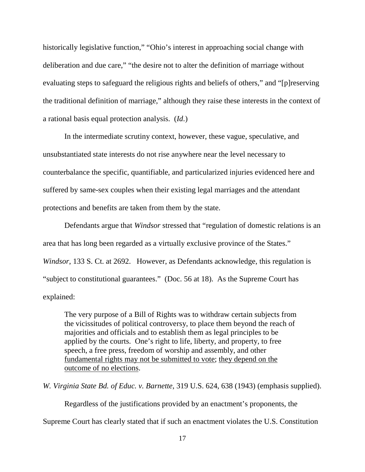historically legislative function," "Ohio's interest in approaching social change with deliberation and due care," "the desire not to alter the definition of marriage without evaluating steps to safeguard the religious rights and beliefs of others," and "[p]reserving the traditional definition of marriage," although they raise these interests in the context of a rational basis equal protection analysis. (*Id*.)

In the intermediate scrutiny context, however, these vague, speculative, and unsubstantiated state interests do not rise anywhere near the level necessary to counterbalance the specific, quantifiable, and particularized injuries evidenced here and suffered by same-sex couples when their existing legal marriages and the attendant protections and benefits are taken from them by the state.

Defendants argue that *Windsor* stressed that "regulation of domestic relations is an area that has long been regarded as a virtually exclusive province of the States." *Windsor*, 133 S. Ct. at 2692. However, as Defendants acknowledge, this regulation is "subject to constitutional guarantees." (Doc. 56 at 18). As the Supreme Court has explained:

The very purpose of a Bill of Rights was to withdraw certain subjects from the vicissitudes of political controversy, to place them beyond the reach of majorities and officials and to establish them as legal principles to be applied by the courts. One's right to life, liberty, and property, to free speech, a free press, freedom of worship and assembly, and other fundamental rights may not be submitted to vote; they depend on the outcome of no elections.

*W. Virginia State Bd. of Educ. v. Barnette*, 319 U.S. 624, 638 (1943) (emphasis supplied).

Regardless of the justifications provided by an enactment's proponents, the

Supreme Court has clearly stated that if such an enactment violates the U.S. Constitution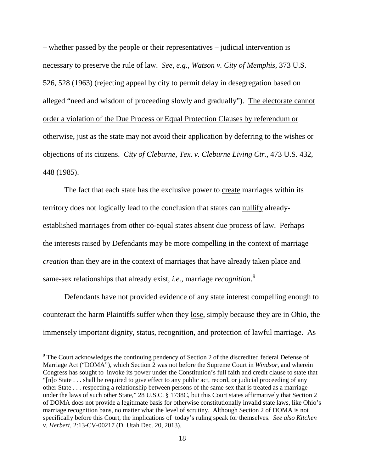– whether passed by the people or their representatives – judicial intervention is necessary to preserve the rule of law. *See, e.g., Watson v. City of Memphis*, 373 U.S. 526, 528 (1963) (rejecting appeal by city to permit delay in desegregation based on alleged "need and wisdom of proceeding slowly and gradually"). The electorate cannot order a violation of the Due Process or Equal Protection Clauses by referendum or otherwise, just as the state may not avoid their application by deferring to the wishes or objections of its citizens. *City of Cleburne, Tex*. *v. Cleburne Living Ctr.*, 473 U.S. 432, 448 (1985).

The fact that each state has the exclusive power to create marriages within its territory does not logically lead to the conclusion that states can nullify alreadyestablished marriages from other co-equal states absent due process of law. Perhaps the interests raised by Defendants may be more compelling in the context of marriage *creation* than they are in the context of marriages that have already taken place and same-sex relationships that already exist, *i.e.*, marriage *recognition*. [9](#page-17-0)

Defendants have not provided evidence of any state interest compelling enough to counteract the harm Plaintiffs suffer when they lose, simply because they are in Ohio, the immensely important dignity, status, recognition, and protection of lawful marriage. As

 $\overline{a}$ 

<span id="page-17-0"></span><sup>&</sup>lt;sup>9</sup> The Court acknowledges the continuing pendency of Section 2 of the discredited federal Defense of Marriage Act ("DOMA"), which Section 2 was not before the Supreme Court in *Windsor*, and wherein Congress has sought to invoke its power under the Constitution's full faith and credit clause to state that "[n]o State . . . shall be required to give effect to any public act, record, or judicial proceeding of any other State . . . respecting a relationship between persons of the same sex that is treated as a marriage under the laws of such other State," 28 U.S.C. § 1738C, but this Court states affirmatively that Section 2 of DOMA does not provide a legitimate basis for otherwise constitutionally invalid state laws, like Ohio's marriage recognition bans, no matter what the level of scrutiny. Although Section 2 of DOMA is not specifically before this Court, the implications of today's ruling speak for themselves. *See also Kitchen v. Herbert*, 2:13-CV-00217 (D. Utah Dec. 20, 2013).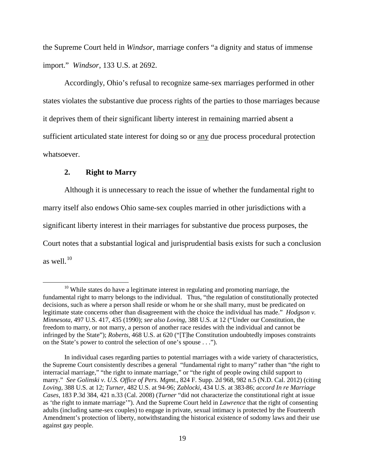the Supreme Court held in *Windsor*, marriage confers "a dignity and status of immense import." *Windsor*, 133 U.S. at 2692.

 Accordingly, Ohio's refusal to recognize same-sex marriages performed in other states violates the substantive due process rights of the parties to those marriages because it deprives them of their significant liberty interest in remaining married absent a sufficient articulated state interest for doing so or any due process procedural protection whatsoever.

# **2. Right to Marry**

 $\overline{a}$ 

Although it is unnecessary to reach the issue of whether the fundamental right to marry itself also endows Ohio same-sex couples married in other jurisdictions with a significant liberty interest in their marriages for substantive due process purposes, the Court notes that a substantial logical and jurisprudential basis exists for such a conclusion as well. $^{10}$  $^{10}$  $^{10}$ 

 $10$  While states do have a legitimate interest in regulating and promoting marriage, the fundamental right to marry belongs to the individual. Thus, "the regulation of constitutionally protected decisions, such as where a person shall reside or whom he or she shall marry, must be predicated on legitimate state concerns other than disagreement with the choice the individual has made." *Hodgson v. Minnesota*, 497 U.S. 417, 435 (1990); *see also Loving*, 388 U.S. at 12 ("Under our Constitution, the freedom to marry, or not marry, a person of another race resides with the individual and cannot be infringed by the State"); *Roberts*, 468 U.S. at 620 ("[T]he Constitution undoubtedly imposes constraints on the State's power to control the selection of one's spouse . . .").

<span id="page-18-0"></span>In individual cases regarding parties to potential marriages with a wide variety of characteristics, the Supreme Court consistently describes a general "fundamental right to marry" rather than "the right to interracial marriage," "the right to inmate marriage," or "the right of people owing child support to marry." *See Golinski v. U.S. Office of Pers. Mgmt*., 824 F. Supp. 2d 968, 982 n.5 (N.D. Cal. 2012) (citing *Loving*, 388 U.S. at 12; *Turner*, 482 U.S. at 94-96; *Zablocki*, 434 U.S. at 383-86; *accord In re Marriage Cases*, 183 P.3d 384, 421 n.33 (Cal. 2008) (*Turner* "did not characterize the constitutional right at issue as 'the right to inmate marriage'"). And the Supreme Court held in *Lawrence* that the right of consenting adults (including same-sex couples) to engage in private, sexual intimacy is protected by the Fourteenth Amendment's protection of liberty, notwithstanding the historical existence of sodomy laws and their use against gay people.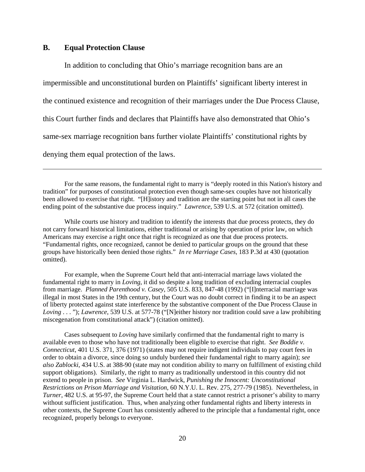#### **B. Equal Protection Clause**

<u>.</u>

 In addition to concluding that Ohio's marriage recognition bans are an impermissible and unconstitutional burden on Plaintiffs' significant liberty interest in the continued existence and recognition of their marriages under the Due Process Clause, this Court further finds and declares that Plaintiffs have also demonstrated that Ohio's same-sex marriage recognition bans further violate Plaintiffs' constitutional rights by denying them equal protection of the laws.

For the same reasons, the fundamental right to marry is "deeply rooted in this Nation's history and tradition" for purposes of constitutional protection even though same-sex couples have not historically been allowed to exercise that right. "[H]istory and tradition are the starting point but not in all cases the ending point of the substantive due process inquiry." *Lawrence*, 539 U.S. at 572 (citation omitted).

While courts use history and tradition to identify the interests that due process protects, they do not carry forward historical limitations, either traditional or arising by operation of prior law, on which Americans may exercise a right once that right is recognized as one that due process protects. "Fundamental rights, once recognized, cannot be denied to particular groups on the ground that these groups have historically been denied those rights." *In re Marriage Cases*, 183 P.3d at 430 (quotation omitted).

For example, when the Supreme Court held that anti-interracial marriage laws violated the fundamental right to marry in *Loving*, it did so despite a long tradition of excluding interracial couples from marriage. *Planned Parenthood v. Casey*, 505 U.S. 833, 847-48 (1992) ("[I]nterracial marriage was illegal in most States in the 19th century, but the Court was no doubt correct in finding it to be an aspect of liberty protected against state interference by the substantive component of the Due Process Clause in *Loving* . . . "); *Lawrence*, 539 U.S. at 577-78 ("[N]either history nor tradition could save a law prohibiting miscegenation from constitutional attack") (citation omitted).

Cases subsequent to *Loving* have similarly confirmed that the fundamental right to marry is available even to those who have not traditionally been eligible to exercise that right. *See Boddie v. Connecticut*, 401 U.S. 371, 376 (1971) (states may not require indigent individuals to pay court fees in order to obtain a divorce, since doing so unduly burdened their fundamental right to marry again); *see also Zablocki*, 434 U.S. at 388-90 (state may not condition ability to marry on fulfillment of existing child support obligations). Similarly, the right to marry as traditionally understood in this country did not extend to people in prison. *See* Virginia L. Hardwick, *Punishing the Innocent: Unconstitutional Restrictions on Prison Marriage and Visitation*, 60 N.Y.U. L. Rev. 275, 277-79 (1985). Nevertheless, in *Turner*, 482 U.S. at 95-97, the Supreme Court held that a state cannot restrict a prisoner's ability to marry without sufficient justification. Thus, when analyzing other fundamental rights and liberty interests in other contexts, the Supreme Court has consistently adhered to the principle that a fundamental right, once recognized, properly belongs to everyone.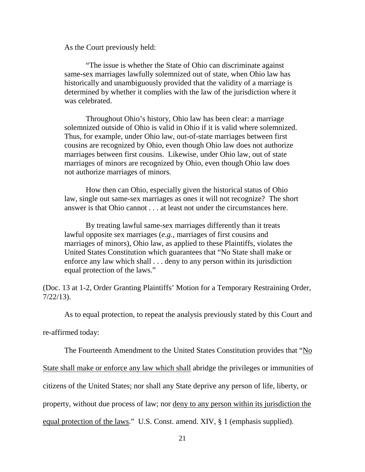As the Court previously held:

"The issue is whether the State of Ohio can discriminate against same-sex marriages lawfully solemnized out of state, when Ohio law has historically and unambiguously provided that the validity of a marriage is determined by whether it complies with the law of the jurisdiction where it was celebrated.

Throughout Ohio's history, Ohio law has been clear: a marriage solemnized outside of Ohio is valid in Ohio if it is valid where solemnized. Thus, for example, under Ohio law, out-of-state marriages between first cousins are recognized by Ohio, even though Ohio law does not authorize marriages between first cousins. Likewise, under Ohio law, out of state marriages of minors are recognized by Ohio, even though Ohio law does not authorize marriages of minors.

How then can Ohio, especially given the historical status of Ohio law, single out same-sex marriages as ones it will not recognize? The short answer is that Ohio cannot . . . at least not under the circumstances here.

By treating lawful same-sex marriages differently than it treats lawful opposite sex marriages (*e.g.*, marriages of first cousins and marriages of minors), Ohio law, as applied to these Plaintiffs, violates the United States Constitution which guarantees that "No State shall make or enforce any law which shall . . . deny to any person within its jurisdiction equal protection of the laws."

(Doc. 13 at 1-2, Order Granting Plaintiffs' Motion for a Temporary Restraining Order, 7/22/13).

As to equal protection, to repeat the analysis previously stated by this Court and

re-affirmed today:

The Fourteenth Amendment to the United States Constitution provides that "No

State shall make or enforce any law which shall abridge the privileges or immunities of

citizens of the United States; nor shall any State deprive any person of life, liberty, or

property, without due process of law; nor deny to any person within its jurisdiction the

equal protection of the laws." U.S. Const. amend. XIV, § 1 (emphasis supplied).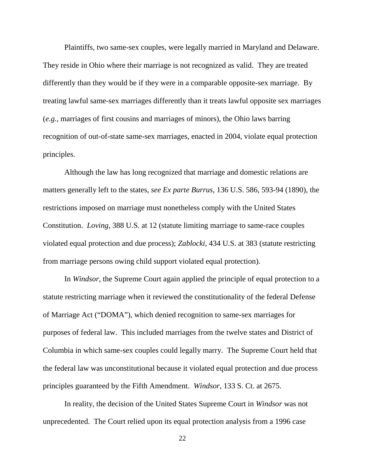Plaintiffs, two same-sex couples, were legally married in Maryland and Delaware. They reside in Ohio where their marriage is not recognized as valid. They are treated differently than they would be if they were in a comparable opposite-sex marriage. By treating lawful same-sex marriages differently than it treats lawful opposite sex marriages (*e.g.*, marriages of first cousins and marriages of minors), the Ohio laws barring recognition of out-of-state same-sex marriages, enacted in 2004, violate equal protection principles.

Although the law has long recognized that marriage and domestic relations are matters generally left to the states, *see Ex parte Burrus*, 136 U.S. 586, 593-94 (1890), the restrictions imposed on marriage must nonetheless comply with the United States Constitution. *Loving*, 388 U.S. at 12 (statute limiting marriage to same-race couples violated equal protection and due process); *Zablocki*, 434 U.S. at 383 (statute restricting from marriage persons owing child support violated equal protection).

In *Windsor*, the Supreme Court again applied the principle of equal protection to a statute restricting marriage when it reviewed the constitutionality of the federal Defense of Marriage Act ("DOMA"), which denied recognition to same-sex marriages for purposes of federal law. This included marriages from the twelve states and District of Columbia in which same-sex couples could legally marry. The Supreme Court held that the federal law was unconstitutional because it violated equal protection and due process principles guaranteed by the Fifth Amendment. *Windsor*, 133 S. Ct. at 2675.

In reality, the decision of the United States Supreme Court in *Windsor* was not unprecedented. The Court relied upon its equal protection analysis from a 1996 case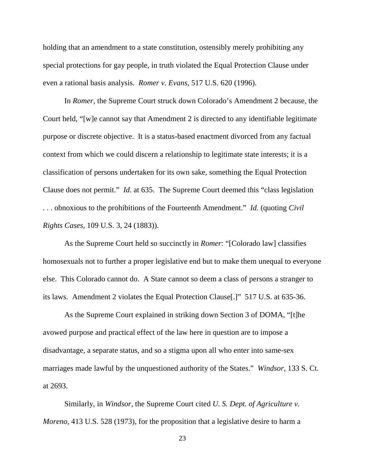holding that an amendment to a state constitution, ostensibly merely prohibiting any special protections for gay people, in truth violated the Equal Protection Clause under even a rational basis analysis. *Romer v. Evans*, 517 U.S. 620 (1996).

In *Romer*, the Supreme Court struck down Colorado's Amendment 2 because, the Court held, "[w]e cannot say that Amendment 2 is directed to any identifiable legitimate purpose or discrete objective. It is a status-based enactment divorced from any factual context from which we could discern a relationship to legitimate state interests; it is a classification of persons undertaken for its own sake, something the Equal Protection Clause does not permit." *Id*. at 635. The Supreme Court deemed this "class legislation . . . obnoxious to the prohibitions of the Fourteenth Amendment." *Id*. (quoting *Civil Rights Cases*, 109 U.S. 3, 24 (1883)).

As the Supreme Court held so succinctly in *Romer*: "[Colorado law] classifies homosexuals not to further a proper legislative end but to make them unequal to everyone else. This Colorado cannot do. A State cannot so deem a class of persons a stranger to its laws. Amendment 2 violates the Equal Protection Clause[.]" 517 U.S. at 635-36.

As the Supreme Court explained in striking down Section 3 of DOMA, "[t]he avowed purpose and practical effect of the law here in question are to impose a disadvantage, a separate status, and so a stigma upon all who enter into same-sex marriages made lawful by the unquestioned authority of the States." *Windsor*, 133 S. Ct. at 2693.

Similarly, in *Windsor*, the Supreme Court cited *U. S. Dept. of Agriculture v. Moreno*, 413 U.S. 528 (1973), for the proposition that a legislative desire to harm a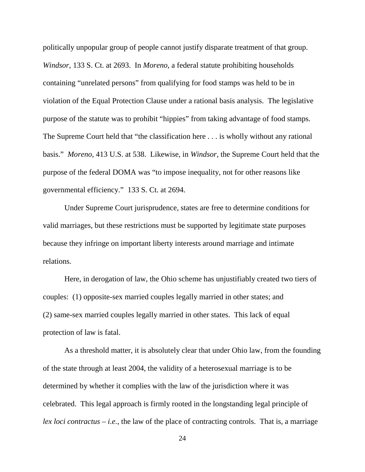politically unpopular group of people cannot justify disparate treatment of that group. *Windsor*, 133 S. Ct. at 2693. In *Moreno*, a federal statute prohibiting households containing "unrelated persons" from qualifying for food stamps was held to be in violation of the Equal Protection Clause under a rational basis analysis. The legislative purpose of the statute was to prohibit "hippies" from taking advantage of food stamps. The Supreme Court held that "the classification here . . . is wholly without any rational basis." *Moreno*, 413 U.S. at 538. Likewise, in *Windsor*, the Supreme Court held that the purpose of the federal DOMA was "to impose inequality, not for other reasons like governmental efficiency." 133 S. Ct. at 2694.

 Under Supreme Court jurisprudence, states are free to determine conditions for valid marriages, but these restrictions must be supported by legitimate state purposes because they infringe on important liberty interests around marriage and intimate relations.

Here, in derogation of law, the Ohio scheme has unjustifiably created two tiers of couples: (1) opposite-sex married couples legally married in other states; and (2) same-sex married couples legally married in other states. This lack of equal protection of law is fatal.

As a threshold matter, it is absolutely clear that under Ohio law, from the founding of the state through at least 2004, the validity of a heterosexual marriage is to be determined by whether it complies with the law of the jurisdiction where it was celebrated. This legal approach is firmly rooted in the longstanding legal principle of *lex loci contractus* – *i.e.*, the law of the place of contracting controls. That is, a marriage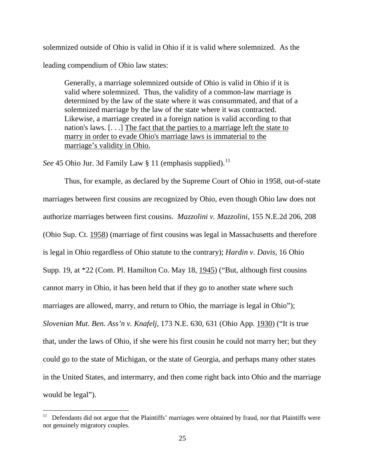solemnized outside of Ohio is valid in Ohio if it is valid where solemnized. As the leading compendium of Ohio law states:

Generally, a marriage solemnized outside of Ohio is valid in Ohio if it is valid where solemnized. Thus, the validity of a common-law marriage is determined by the law of the state where it was consummated, and that of a solemnized marriage by the law of the state where it was contracted. Likewise, a marriage created in a foreign nation is valid according to that nation's laws. [. . .] The fact that the parties to a marriage left the state to marry in order to evade Ohio's marriage laws is immaterial to the marriage's validity in Ohio.

*See* 45 Ohio Jur. 3d Family Law § [11](#page-24-0) (emphasis supplied).<sup>11</sup>

Thus, for example, as declared by the Supreme Court of Ohio in 1958, out-of-state marriages between first cousins are recognized by Ohio, even though Ohio law does not authorize marriages between first cousins. *Mazzolini v. Mazzolini*, 155 N.E.2d 206, 208 (Ohio Sup. Ct. 1958) (marriage of first cousins was legal in Massachusetts and therefore is legal in Ohio regardless of Ohio statute to the contrary); *Hardin v. Davis*, 16 Ohio Supp. 19, at \*22 (Com. Pl. Hamilton Co. May 18, 1945) ("But, although first cousins cannot marry in Ohio, it has been held that if they go to another state where such marriages are allowed, marry, and return to Ohio, the marriage is legal in Ohio"); *Slovenian Mut. Ben. Ass'n v. Knafelj*, 173 N.E. 630, 631 (Ohio App. 1930) ("It is true that, under the laws of Ohio, if she were his first cousin he could not marry her; but they could go to the state of Michigan, or the state of Georgia, and perhaps many other states in the United States, and intermarry, and then come right back into Ohio and the marriage would be legal").

<span id="page-24-0"></span><sup>&</sup>lt;sup>11</sup> Defendants did not argue that the Plaintiffs' marriages were obtained by fraud, nor that Plaintiffs were not genuinely migratory couples.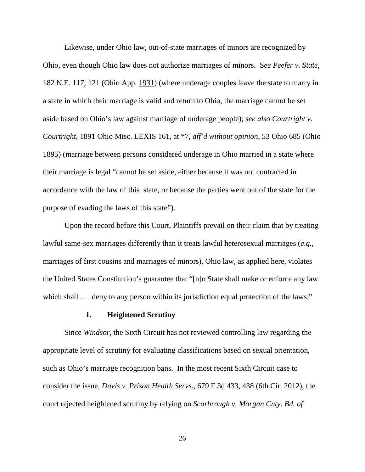Likewise, under Ohio law, out-of-state marriages of minors are recognized by Ohio, even though Ohio law does not authorize marriages of minors. S*ee Peefer v. State*, 182 N.E. 117, 121 (Ohio App. 1931) (where underage couples leave the state to marry in a state in which their marriage is valid and return to Ohio, the marriage cannot be set aside based on Ohio's law against marriage of underage people); *see also Courtright v. Courtright*, 1891 Ohio Misc. LEXIS 161, at \*7, *aff'd without opinion*, 53 Ohio 685 (Ohio 1895) (marriage between persons considered underage in Ohio married in a state where their marriage is legal "cannot be set aside, either because it was not contracted in accordance with the law of this state, or because the parties went out of the state for the purpose of evading the laws of this state").

Upon the record before this Court, Plaintiffs prevail on their claim that by treating lawful same-sex marriages differently than it treats lawful heterosexual marriages (*e.g.*, marriages of first cousins and marriages of minors), Ohio law, as applied here, violates the United States Constitution's guarantee that "[n]o State shall make or enforce any law which shall . . . deny to any person within its jurisdiction equal protection of the laws."

### **1. Heightened Scrutiny**

 Since *Windsor*, the Sixth Circuit has not reviewed controlling law regarding the appropriate level of scrutiny for evaluating classifications based on sexual orientation, such as Ohio's marriage recognition bans. In the most recent Sixth Circuit case to consider the issue, *Davis v. Prison Health Servs*., 679 F.3d 433, 438 (6th Cir. 2012), the court rejected heightened scrutiny by relying on *Scarbrough v. Morgan Cnty. Bd. of*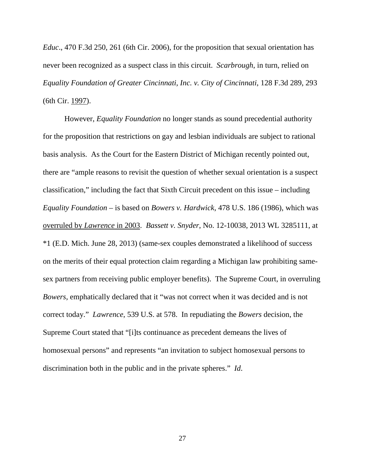*Educ*., 470 F.3d 250, 261 (6th Cir. 2006), for the proposition that sexual orientation has never been recognized as a suspect class in this circuit. *Scarbrough*, in turn, relied on *Equality Foundation of Greater Cincinnati, Inc. v. City of Cincinnati*, 128 F.3d 289, 293 (6th Cir. 1997).

 However, *Equality Foundation* no longer stands as sound precedential authority for the proposition that restrictions on gay and lesbian individuals are subject to rational basis analysis. As the Court for the Eastern District of Michigan recently pointed out, there are "ample reasons to revisit the question of whether sexual orientation is a suspect classification," including the fact that Sixth Circuit precedent on this issue – including *Equality Foundation* – is based on *Bowers v. Hardwick*, 478 U.S. 186 (1986), which was overruled by *Lawrence* in 2003. *Bassett v. Snyder*, No. 12-10038, 2013 WL 3285111, at \*1 (E.D. Mich. June 28, 2013) (same-sex couples demonstrated a likelihood of success on the merits of their equal protection claim regarding a Michigan law prohibiting samesex partners from receiving public employer benefits). The Supreme Court, in overruling *Bowers*, emphatically declared that it "was not correct when it was decided and is not correct today." *Lawrence*, 539 U.S. at 578. In repudiating the *Bowers* decision, the Supreme Court stated that "[i]ts continuance as precedent demeans the lives of homosexual persons" and represents "an invitation to subject homosexual persons to discrimination both in the public and in the private spheres." *Id*.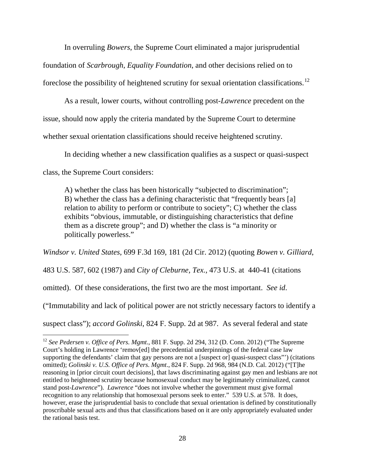In overruling *Bowers*, the Supreme Court eliminated a major jurisprudential foundation of *Scarbrough*, *Equality Foundation*, and other decisions relied on to foreclose the possibility of heightened scrutiny for sexual orientation classifications.<sup>[12](#page-27-0)</sup>

 As a result, lower courts, without controlling post-*Lawrence* precedent on the issue, should now apply the criteria mandated by the Supreme Court to determine whether sexual orientation classifications should receive heightened scrutiny.

In deciding whether a new classification qualifies as a suspect or quasi-suspect

class, the Supreme Court considers:

 $\overline{a}$ 

A) whether the class has been historically "subjected to discrimination"; B) whether the class has a defining characteristic that "frequently bears [a] relation to ability to perform or contribute to society"; C) whether the class exhibits "obvious, immutable, or distinguishing characteristics that define them as a discrete group"; and D) whether the class is "a minority or politically powerless."

*Windsor v. United States*, 699 F.3d 169, 181 (2d Cir. 2012) (quoting *Bowen v. Gilliard*,

483 U.S. 587, 602 (1987) and *City of Cleburne, Tex.,* 473 U.S. at 440-41 (citations

omitted). Of these considerations, the first two are the most important. *See id*.

("Immutability and lack of political power are not strictly necessary factors to identify a

suspect class"); *accord Golinski*, 824 F. Supp. 2d at 987. As several federal and state

<span id="page-27-0"></span><sup>12</sup> *See Pedersen v. Office of Pers. Mgmt*., 881 F. Supp. 2d 294, 312 (D. Conn. 2012) ("The Supreme Court's holding in Lawrence 'remov[ed] the precedential underpinnings of the federal case law supporting the defendants' claim that gay persons are not a [suspect or] quasi-suspect class"') (citations omitted); *Golinski v. U.S. Office of Pers. Mgmt*., 824 F. Supp. 2d 968, 984 (N.D. Cal. 2012) ("[T]he reasoning in [prior circuit court decisions], that laws discriminating against gay men and lesbians are not entitled to heightened scrutiny because homosexual conduct may be legitimately criminalized, cannot stand post-*Lawrence*"). *Lawrence* "does not involve whether the government must give formal recognition to any relationship that homosexual persons seek to enter." 539 U.S. at 578. It does, however, erase the jurisprudential basis to conclude that sexual orientation is defined by constitutionally proscribable sexual acts and thus that classifications based on it are only appropriately evaluated under the rational basis test.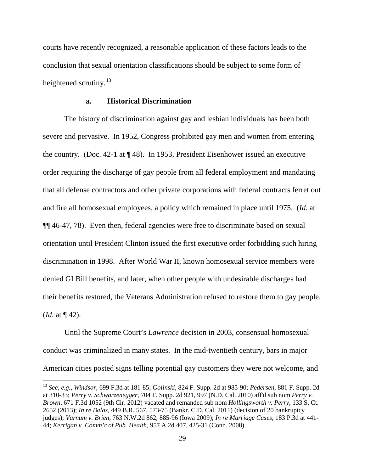courts have recently recognized, a reasonable application of these factors leads to the conclusion that sexual orientation classifications should be subject to some form of heightened scrutiny.<sup>[13](#page-28-0)</sup>

### **a. Historical Discrimination**

 The history of discrimination against gay and lesbian individuals has been both severe and pervasive. In 1952, Congress prohibited gay men and women from entering the country. (Doc. 42-1 at ¶ 48). In 1953, President Eisenhower issued an executive order requiring the discharge of gay people from all federal employment and mandating that all defense contractors and other private corporations with federal contracts ferret out and fire all homosexual employees, a policy which remained in place until 1975. (*Id.* at ¶¶ 46-47, 78). Even then, federal agencies were free to discriminate based on sexual orientation until President Clinton issued the first executive order forbidding such hiring discrimination in 1998. After World War II, known homosexual service members were denied GI Bill benefits, and later, when other people with undesirable discharges had their benefits restored, the Veterans Administration refused to restore them to gay people. (*Id.* at ¶ 42).

 Until the Supreme Court's *Lawrence* decision in 2003, consensual homosexual conduct was criminalized in many states. In the mid-twentieth century, bars in major American cities posted signs telling potential gay customers they were not welcome, and

<u>.</u>

<span id="page-28-0"></span><sup>13</sup> *See, e.g., Windsor*, 699 F.3d at 181-85; *Golinski*, 824 F. Supp. 2d at 985-90; *Pedersen*, 881 F. Supp. 2d at 310-33; *Perry v. Schwarzenegger*, 704 F. Supp. 2d 921, 997 (N.D. Cal. 2010) aff'd sub nom *Perry v. Brown*, 671 F.3d 1052 (9th Cir. 2012) vacated and remanded sub nom *Hollingsworth v. Perry*, 133 S. Ct. 2652 (2013); *In re Balas*, 449 B.R. 567, 573-75 (Bankr. C.D. Cal. 2011) (decision of 20 bankruptcy judges); *Varnum v. Brien*, 763 N.W.2d 862, 885-96 (Iowa 2009); *In re Marriage Cases*, 183 P.3d at 441- 44; *Kerrigan v. Comm'r of Pub. Health*, 957 A.2d 407, 425-31 (Conn. 2008).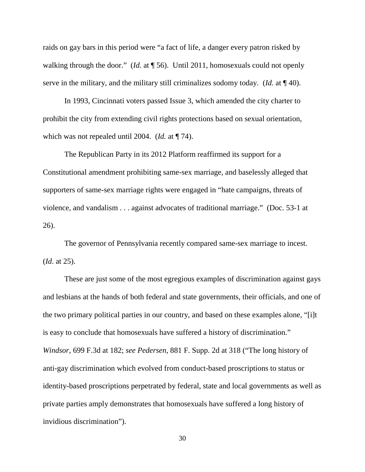raids on gay bars in this period were "a fact of life, a danger every patron risked by walking through the door." (*Id.* at ¶ 56). Until 2011, homosexuals could not openly serve in the military, and the military still criminalizes sodomy today. (*Id.* at ¶ 40).

In 1993, Cincinnati voters passed Issue 3, which amended the city charter to prohibit the city from extending civil rights protections based on sexual orientation, which was not repealed until 2004. (*Id.* at ¶ 74).

The Republican Party in its 2012 Platform reaffirmed its support for a Constitutional amendment prohibiting same-sex marriage, and baselessly alleged that supporters of same-sex marriage rights were engaged in "hate campaigns, threats of violence, and vandalism . . . against advocates of traditional marriage." (Doc. 53-1 at 26).

The governor of Pennsylvania recently compared same-sex marriage to incest. (*Id*. at 25).

 These are just some of the most egregious examples of discrimination against gays and lesbians at the hands of both federal and state governments, their officials, and one of the two primary political parties in our country, and based on these examples alone, "[i]t is easy to conclude that homosexuals have suffered a history of discrimination." *Windsor*, 699 F.3d at 182; *see Pedersen*, 881 F. Supp. 2d at 318 ("The long history of anti-gay discrimination which evolved from conduct-based proscriptions to status or identity-based proscriptions perpetrated by federal, state and local governments as well as private parties amply demonstrates that homosexuals have suffered a long history of invidious discrimination").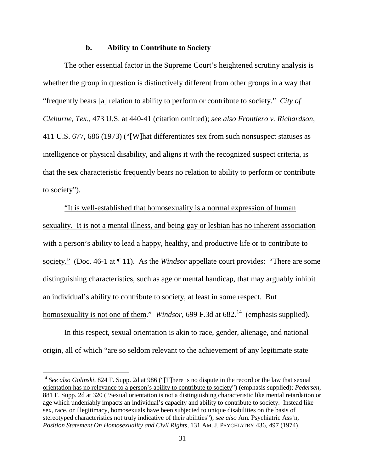#### **b. Ability to Contribute to Society**

 The other essential factor in the Supreme Court's heightened scrutiny analysis is whether the group in question is distinctively different from other groups in a way that "frequently bears [a] relation to ability to perform or contribute to society." *City of Cleburne, Tex*., 473 U.S. at 440-41 (citation omitted); *see also Frontiero v. Richardson*, 411 U.S. 677, 686 (1973) ("[W]hat differentiates sex from such nonsuspect statuses as intelligence or physical disability, and aligns it with the recognized suspect criteria, is that the sex characteristic frequently bears no relation to ability to perform or contribute to society").

"It is well-established that homosexuality is a normal expression of human sexuality. It is not a mental illness, and being gay or lesbian has no inherent association with a person's ability to lead a happy, healthy, and productive life or to contribute to society." (Doc. 46-1 at ¶ 11). As the *Windsor* appellate court provides: "There are some distinguishing characteristics, such as age or mental handicap, that may arguably inhibit an individual's ability to contribute to society, at least in some respect. But homosexuality is not one of them." *Windsor*, 699 F.3d at 682.<sup>[14](#page-30-0)</sup> (emphasis supplied).

 In this respect, sexual orientation is akin to race, gender, alienage, and national origin, all of which "are so seldom relevant to the achievement of any legitimate state

 $\overline{a}$ 

<span id="page-30-0"></span><sup>&</sup>lt;sup>14</sup> See also Golinski, 824 F. Supp. 2d at 986 ("[T]here is no dispute in the record or the law that sexual orientation has no relevance to a person's ability to contribute to society") (emphasis supplied); *Pedersen*, 881 F. Supp. 2d at 320 ("Sexual orientation is not a distinguishing characteristic like mental retardation or age which undeniably impacts an individual's capacity and ability to contribute to society. Instead like sex, race, or illegitimacy, homosexuals have been subjected to unique disabilities on the basis of stereotyped characteristics not truly indicative of their abilities"); *see also* Am. Psychiatric Ass'n, *Position Statement On Homosexuality and Civil Rights*, 131 AM. J. PSYCHIATRY 436, 497 (1974).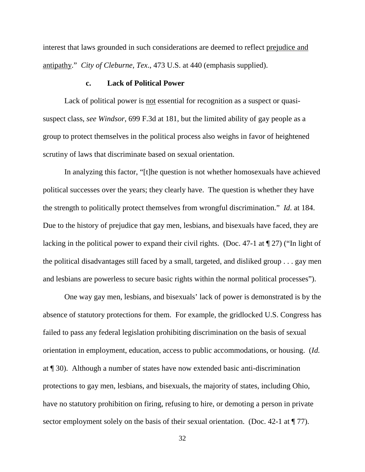interest that laws grounded in such considerations are deemed to reflect prejudice and antipathy." *City of Cleburne, Tex*., 473 U.S. at 440 (emphasis supplied).

### **c. Lack of Political Power**

 Lack of political power is not essential for recognition as a suspect or quasisuspect class, *see Windsor*, 699 F.3d at 181, but the limited ability of gay people as a group to protect themselves in the political process also weighs in favor of heightened scrutiny of laws that discriminate based on sexual orientation.

In analyzing this factor, "[t]he question is not whether homosexuals have achieved political successes over the years; they clearly have. The question is whether they have the strength to politically protect themselves from wrongful discrimination." *Id*. at 184. Due to the history of prejudice that gay men, lesbians, and bisexuals have faced, they are lacking in the political power to expand their civil rights. (Doc. 47-1 at  $\P$  27) ("In light of the political disadvantages still faced by a small, targeted, and disliked group . . . gay men and lesbians are powerless to secure basic rights within the normal political processes").

 One way gay men, lesbians, and bisexuals' lack of power is demonstrated is by the absence of statutory protections for them. For example, the gridlocked U.S. Congress has failed to pass any federal legislation prohibiting discrimination on the basis of sexual orientation in employment, education, access to public accommodations, or housing. (*Id.* at ¶ 30). Although a number of states have now extended basic anti-discrimination protections to gay men, lesbians, and bisexuals, the majority of states, including Ohio, have no statutory prohibition on firing, refusing to hire, or demoting a person in private sector employment solely on the basis of their sexual orientation. (Doc. 42-1 at  $\P$  77).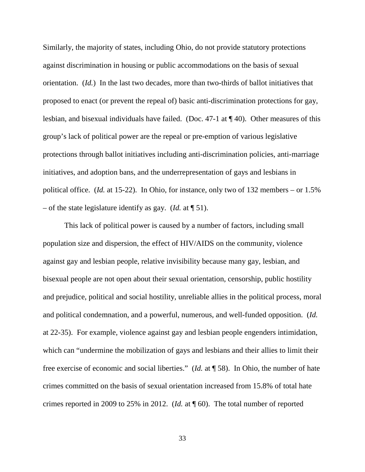Similarly, the majority of states, including Ohio, do not provide statutory protections against discrimination in housing or public accommodations on the basis of sexual orientation. (*Id.*) In the last two decades, more than two-thirds of ballot initiatives that proposed to enact (or prevent the repeal of) basic anti-discrimination protections for gay, lesbian, and bisexual individuals have failed. (Doc. 47-1 at ¶ 40). Other measures of this group's lack of political power are the repeal or pre-emption of various legislative protections through ballot initiatives including anti-discrimination policies, anti-marriage initiatives, and adoption bans, and the underrepresentation of gays and lesbians in political office. (*Id.* at 15-22). In Ohio, for instance, only two of 132 members – or 1.5% – of the state legislature identify as gay. (*Id.* at ¶ 51).

 This lack of political power is caused by a number of factors, including small population size and dispersion, the effect of HIV/AIDS on the community, violence against gay and lesbian people, relative invisibility because many gay, lesbian, and bisexual people are not open about their sexual orientation, censorship, public hostility and prejudice, political and social hostility, unreliable allies in the political process, moral and political condemnation, and a powerful, numerous, and well-funded opposition. (*Id.* at 22-35). For example, violence against gay and lesbian people engenders intimidation, which can "undermine the mobilization of gays and lesbians and their allies to limit their free exercise of economic and social liberties." (*Id.* at ¶ 58). In Ohio, the number of hate crimes committed on the basis of sexual orientation increased from 15.8% of total hate crimes reported in 2009 to 25% in 2012. (*Id.* at ¶ 60). The total number of reported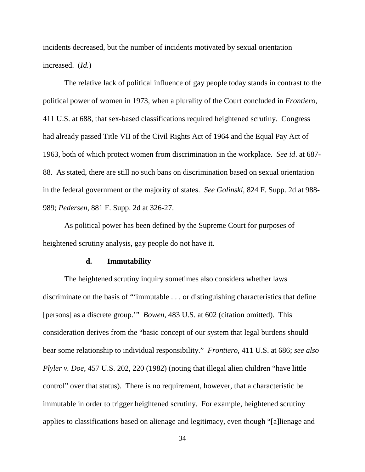incidents decreased, but the number of incidents motivated by sexual orientation increased. (*Id.*)

 The relative lack of political influence of gay people today stands in contrast to the political power of women in 1973, when a plurality of the Court concluded in *Frontiero*, 411 U.S. at 688, that sex-based classifications required heightened scrutiny. Congress had already passed Title VII of the Civil Rights Act of 1964 and the Equal Pay Act of 1963, both of which protect women from discrimination in the workplace. *See id*. at 687- 88. As stated, there are still no such bans on discrimination based on sexual orientation in the federal government or the majority of states. *See Golinski*, 824 F. Supp. 2d at 988- 989; *Pedersen*, 881 F. Supp. 2d at 326-27.

 As political power has been defined by the Supreme Court for purposes of heightened scrutiny analysis, gay people do not have it.

### **d. Immutability**

The heightened scrutiny inquiry sometimes also considers whether laws discriminate on the basis of "'immutable . . . or distinguishing characteristics that define [persons] as a discrete group.'" *Bowen*, 483 U.S. at 602 (citation omitted). This consideration derives from the "basic concept of our system that legal burdens should bear some relationship to individual responsibility." *Frontiero*, 411 U.S. at 686; *see also Plyler v. Doe*, 457 U.S. 202, 220 (1982) (noting that illegal alien children "have little control" over that status). There is no requirement, however, that a characteristic be immutable in order to trigger heightened scrutiny. For example, heightened scrutiny applies to classifications based on alienage and legitimacy, even though "[a]lienage and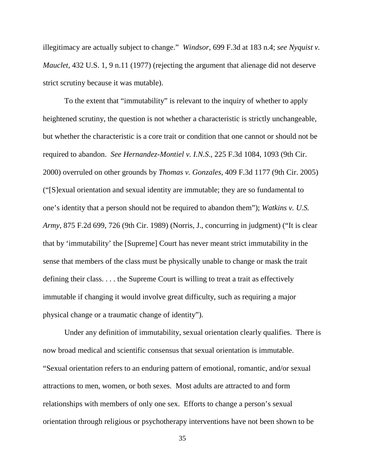illegitimacy are actually subject to change." *Windsor*, 699 F.3d at 183 n.4; *see Nyquist v. Mauclet*, 432 U.S. 1, 9 n.11 (1977) (rejecting the argument that alienage did not deserve strict scrutiny because it was mutable).

 To the extent that "immutability" is relevant to the inquiry of whether to apply heightened scrutiny, the question is not whether a characteristic is strictly unchangeable, but whether the characteristic is a core trait or condition that one cannot or should not be required to abandon. *See Hernandez-Montiel v. I.N.S*., 225 F.3d 1084, 1093 (9th Cir. 2000) overruled on other grounds by *Thomas v. Gonzales*, 409 F.3d 1177 (9th Cir. 2005) ("[S]exual orientation and sexual identity are immutable; they are so fundamental to one's identity that a person should not be required to abandon them"); *Watkins v. U.S. Army*, 875 F.2d 699, 726 (9th Cir. 1989) (Norris, J., concurring in judgment) ("It is clear that by 'immutability' the [Supreme] Court has never meant strict immutability in the sense that members of the class must be physically unable to change or mask the trait defining their class. . . . the Supreme Court is willing to treat a trait as effectively immutable if changing it would involve great difficulty, such as requiring a major physical change or a traumatic change of identity").

 Under any definition of immutability, sexual orientation clearly qualifies. There is now broad medical and scientific consensus that sexual orientation is immutable. "Sexual orientation refers to an enduring pattern of emotional, romantic, and/or sexual attractions to men, women, or both sexes. Most adults are attracted to and form relationships with members of only one sex. Efforts to change a person's sexual orientation through religious or psychotherapy interventions have not been shown to be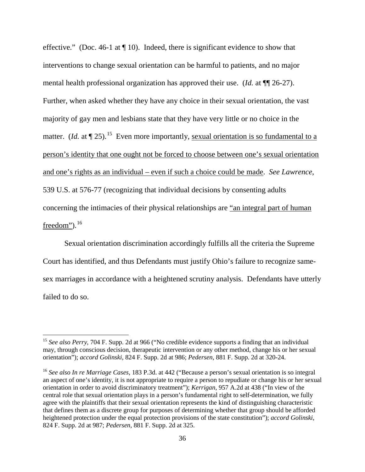effective." (Doc. 46-1 at ¶ 10). Indeed, there is significant evidence to show that interventions to change sexual orientation can be harmful to patients, and no major mental health professional organization has approved their use. (*Id.* at ¶¶ 26-27). Further, when asked whether they have any choice in their sexual orientation, the vast majority of gay men and lesbians state that they have very little or no choice in the matter. (*Id.* at  $\P$  25).<sup>[15](#page-35-0)</sup> Even more importantly, sexual orientation is so fundamental to a person's identity that one ought not be forced to choose between one's sexual orientation and one's rights as an individual – even if such a choice could be made. *See Lawrence*, 539 U.S. at 576-77 (recognizing that individual decisions by consenting adults concerning the intimacies of their physical relationships are "an integral part of human freedom"). $^{16}$  $^{16}$  $^{16}$ 

 Sexual orientation discrimination accordingly fulfills all the criteria the Supreme Court has identified, and thus Defendants must justify Ohio's failure to recognize samesex marriages in accordance with a heightened scrutiny analysis. Defendants have utterly failed to do so.

 $\overline{a}$ 

<span id="page-35-0"></span><sup>&</sup>lt;sup>15</sup> See also Perry, 704 F. Supp. 2d at 966 ("No credible evidence supports a finding that an individual may, through conscious decision, therapeutic intervention or any other method, change his or her sexual orientation"); *accord Golinski*, 824 F. Supp. 2d at 986; *Pedersen*, 881 F. Supp. 2d at 320-24.

<span id="page-35-1"></span><sup>16</sup> *See also In re Marriage Cases*, 183 P.3d. at 442 ("Because a person's sexual orientation is so integral an aspect of one's identity, it is not appropriate to require a person to repudiate or change his or her sexual orientation in order to avoid discriminatory treatment"); *Kerrigan*, 957 A.2d at 438 ("In view of the central role that sexual orientation plays in a person's fundamental right to self-determination, we fully agree with the plaintiffs that their sexual orientation represents the kind of distinguishing characteristic that defines them as a discrete group for purposes of determining whether that group should be afforded heightened protection under the equal protection provisions of the state constitution"); *accord Golinski*, 824 F. Supp. 2d at 987; *Pedersen*, 881 F. Supp. 2d at 325.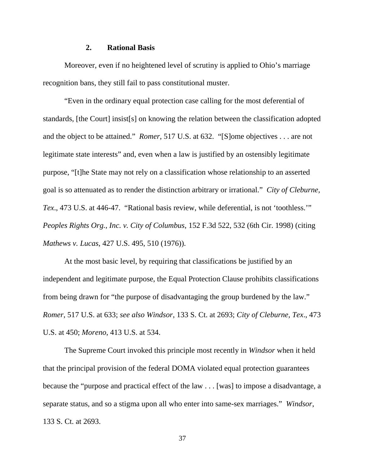#### **2. Rational Basis**

 Moreover, even if no heightened level of scrutiny is applied to Ohio's marriage recognition bans, they still fail to pass constitutional muster.

"Even in the ordinary equal protection case calling for the most deferential of standards, [the Court] insist[s] on knowing the relation between the classification adopted and the object to be attained." *Romer*, 517 U.S. at 632. "[S]ome objectives . . . are not legitimate state interests" and, even when a law is justified by an ostensibly legitimate purpose, "[t]he State may not rely on a classification whose relationship to an asserted goal is so attenuated as to render the distinction arbitrary or irrational." *City of Cleburne, Tex*., 473 U.S. at 446-47. "Rational basis review, while deferential, is not 'toothless.'" *Peoples Rights Org., Inc. v. City of Columbus*, 152 F.3d 522, 532 (6th Cir. 1998) (citing *Mathews v. Lucas*, 427 U.S. 495, 510 (1976)).

 At the most basic level, by requiring that classifications be justified by an independent and legitimate purpose, the Equal Protection Clause prohibits classifications from being drawn for "the purpose of disadvantaging the group burdened by the law." *Romer*, 517 U.S. at 633; *see also Windsor*, 133 S. Ct. at 2693; *City of Cleburne, Tex*., 473 U.S. at 450; *Moreno*, 413 U.S. at 534.

The Supreme Court invoked this principle most recently in *Windsor* when it held that the principal provision of the federal DOMA violated equal protection guarantees because the "purpose and practical effect of the law . . . [was] to impose a disadvantage, a separate status, and so a stigma upon all who enter into same-sex marriages." *Windsor*, 133 S. Ct. at 2693.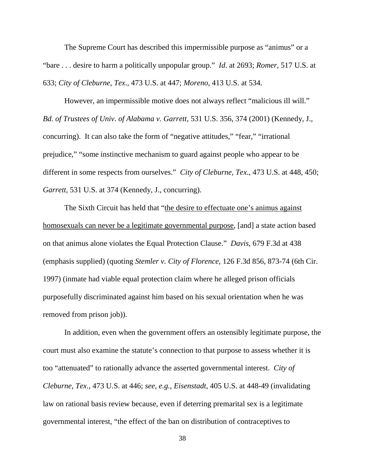The Supreme Court has described this impermissible purpose as "animus" or a "bare . . . desire to harm a politically unpopular group." *Id*. at 2693; *Romer*, 517 U.S. at 633; *City of Cleburne, Tex*., 473 U.S. at 447; *Moreno*, 413 U.S. at 534.

However, an impermissible motive does not always reflect "malicious ill will." *Bd. of Trustees of Univ. of Alabama v. Garrett*, 531 U.S. 356, 374 (2001) (Kennedy, J., concurring). It can also take the form of "negative attitudes," "fear," "irrational prejudice," "some instinctive mechanism to guard against people who appear to be different in some respects from ourselves." *City of Cleburne, Tex*., 473 U.S. at 448, 450; *Garrett*, 531 U.S. at 374 (Kennedy, J., concurring).

The Sixth Circuit has held that "the desire to effectuate one's animus against homosexuals can never be a legitimate governmental purpose, [and] a state action based on that animus alone violates the Equal Protection Clause." *Davis*, 679 F.3d at 438 (emphasis supplied) (quoting *Stemler v. City of Florence*, 126 F.3d 856, 873-74 (6th Cir. 1997) (inmate had viable equal protection claim where he alleged prison officials purposefully discriminated against him based on his sexual orientation when he was removed from prison job)).

 In addition, even when the government offers an ostensibly legitimate purpose, the court must also examine the statute's connection to that purpose to assess whether it is too "attenuated" to rationally advance the asserted governmental interest. *City of Cleburne, Tex*., 473 U.S. at 446; *see, e.g.*, *Eisenstadt*, 405 U.S. at 448-49 (invalidating law on rational basis review because, even if deterring premarital sex is a legitimate governmental interest, "the effect of the ban on distribution of contraceptives to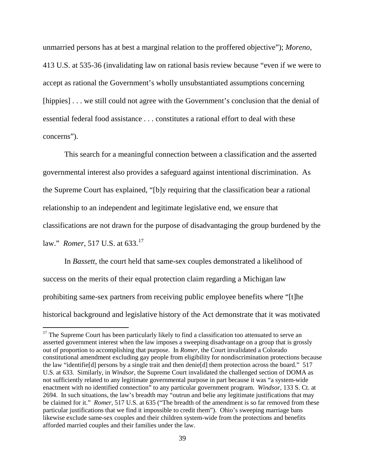unmarried persons has at best a marginal relation to the proffered objective"); *Moreno*, 413 U.S. at 535-36 (invalidating law on rational basis review because "even if we were to accept as rational the Government's wholly unsubstantiated assumptions concerning [hippies] . . . we still could not agree with the Government's conclusion that the denial of essential federal food assistance . . . constitutes a rational effort to deal with these concerns").

This search for a meaningful connection between a classification and the asserted governmental interest also provides a safeguard against intentional discrimination. As the Supreme Court has explained, "[b]y requiring that the classification bear a rational relationship to an independent and legitimate legislative end, we ensure that classifications are not drawn for the purpose of disadvantaging the group burdened by the law." *Romer*, 517 U.S. at 633.[17](#page-38-0)

 In *Bassett*, the court held that same-sex couples demonstrated a likelihood of success on the merits of their equal protection claim regarding a Michigan law prohibiting same-sex partners from receiving public employee benefits where "[t]he historical background and legislative history of the Act demonstrate that it was motivated

 $\overline{a}$ 

<span id="page-38-0"></span> $17$  The Supreme Court has been particularly likely to find a classification too attenuated to serve an asserted government interest when the law imposes a sweeping disadvantage on a group that is grossly out of proportion to accomplishing that purpose. In *Romer*, the Court invalidated a Colorado constitutional amendment excluding gay people from eligibility for nondiscrimination protections because the law "identifie[d] persons by a single trait and then denie[d] them protection across the board." 517 U.S. at 633. Similarly, in *Windsor*, the Supreme Court invalidated the challenged section of DOMA as not sufficiently related to any legitimate governmental purpose in part because it was "a system-wide enactment with no identified connection" to any particular government program. *Windsor*, 133 S. Ct. at 2694. In such situations, the law's breadth may "outrun and belie any legitimate justifications that may be claimed for it." *Romer*, 517 U.S. at 635 ("The breadth of the amendment is so far removed from these particular justifications that we find it impossible to credit them"). Ohio's sweeping marriage bans likewise exclude same-sex couples and their children system-wide from the protections and benefits afforded married couples and their families under the law.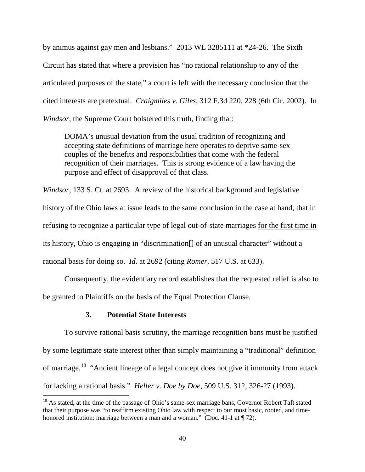by animus against gay men and lesbians." 2013 WL 3285111 at \*24-26. The Sixth Circuit has stated that where a provision has "no rational relationship to any of the articulated purposes of the state," a court is left with the necessary conclusion that the cited interests are pretextual. *Craigmiles v. Giles*, 312 F.3d 220, 228 (6th Cir. 2002). In *Windsor*, the Supreme Court bolstered this truth, finding that:

DOMA's unusual deviation from the usual tradition of recognizing and accepting state definitions of marriage here operates to deprive same-sex couples of the benefits and responsibilities that come with the federal recognition of their marriages. This is strong evidence of a law having the purpose and effect of disapproval of that class.

*Windsor*, 133 S. Ct. at 2693. A review of the historical background and legislative history of the Ohio laws at issue leads to the same conclusion in the case at hand, that in refusing to recognize a particular type of legal out-of-state marriages for the first time in its history, Ohio is engaging in "discrimination[] of an unusual character" without a rational basis for doing so. *Id.* at 2692 (citing *Romer*, 517 U.S. at 633).

Consequently, the evidentiary record establishes that the requested relief is also to be granted to Plaintiffs on the basis of the Equal Protection Clause.

### **3. Potential State Interests**

 $\overline{a}$ 

 To survive rational basis scrutiny, the marriage recognition bans must be justified by some legitimate state interest other than simply maintaining a "traditional" definition of marriage.[18](#page-39-0) "Ancient lineage of a legal concept does not give it immunity from attack for lacking a rational basis." *Heller v. Doe by Doe*, 509 U.S. 312, 326-27 (1993).

<span id="page-39-0"></span><sup>&</sup>lt;sup>18</sup> As stated, at the time of the passage of Ohio's same-sex marriage bans, Governor Robert Taft stated that their purpose was "to reaffirm existing Ohio law with respect to our most basic, rooted, and timehonored institution: marriage between a man and a woman." (Doc. 41-1 at  $\P$  72).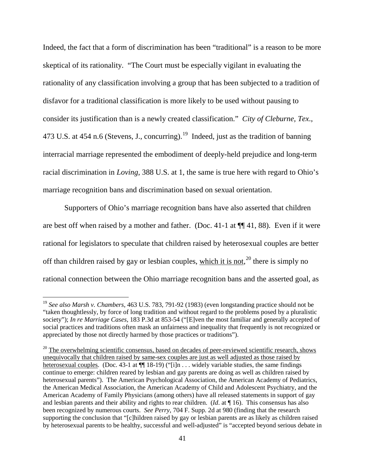Indeed, the fact that a form of discrimination has been "traditional" is a reason to be more skeptical of its rationality. "The Court must be especially vigilant in evaluating the rationality of any classification involving a group that has been subjected to a tradition of disfavor for a traditional classification is more likely to be used without pausing to consider its justification than is a newly created classification." *City of Cleburne, Tex*., 473 U.S. at 454 n.6 (Stevens, J., concurring).<sup>[19](#page-40-0)</sup> Indeed, just as the tradition of banning interracial marriage represented the embodiment of deeply-held prejudice and long-term racial discrimination in *Loving*, 388 U.S. at 1, the same is true here with regard to Ohio's marriage recognition bans and discrimination based on sexual orientation.

 Supporters of Ohio's marriage recognition bans have also asserted that children are best off when raised by a mother and father. (Doc. 41-1 at  $\P$  41, 88). Even if it were rational for legislators to speculate that children raised by heterosexual couples are better off than children raised by gay or lesbian couples, which it is not,  $^{20}$  $^{20}$  $^{20}$  there is simply no rational connection between the Ohio marriage recognition bans and the asserted goal, as

 $\overline{a}$ 

<span id="page-40-0"></span><sup>19</sup> *See also Marsh v. Chambers*, 463 U.S. 783, 791-92 (1983) (even longstanding practice should not be "taken thoughtlessly, by force of long tradition and without regard to the problems posed by a pluralistic society"); *In re Marriage Cases*, 183 P.3d at 853-54 ("[E]ven the most familiar and generally accepted of social practices and traditions often mask an unfairness and inequality that frequently is not recognized or appreciated by those not directly harmed by those practices or traditions").

<span id="page-40-1"></span> $20$  The overwhelming scientific consensus, based on decades of peer-reviewed scientific research, shows unequivocally that children raised by same-sex couples are just as well adjusted as those raised by heterosexual couples. (Doc. 43-1 at  $\P$  18-19) ("[i]n . . . widely variable studies, the same findings continue to emerge: children reared by lesbian and gay parents are doing as well as children raised by heterosexual parents"). The American Psychological Association, the American Academy of Pediatrics, the American Medical Association, the American Academy of Child and Adolescent Psychiatry, and the American Academy of Family Physicians (among others) have all released statements in support of gay and lesbian parents and their ability and rights to rear children. (*Id*. at ¶ 16). This consensus has also been recognized by numerous courts. *See Perry*, 704 F. Supp. 2d at 980 (finding that the research supporting the conclusion that "[c]hildren raised by gay or lesbian parents are as likely as children raised by heterosexual parents to be healthy, successful and well-adjusted" is "accepted beyond serious debate in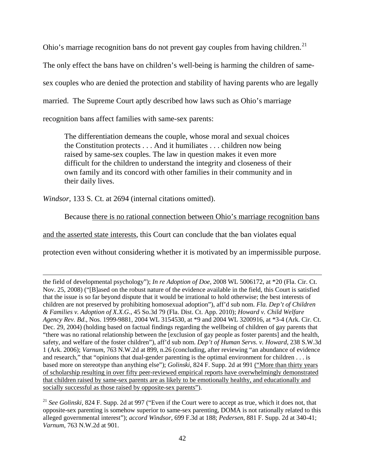Ohio's marriage recognition bans do not prevent gay couples from having children.<sup>[21](#page-41-0)</sup>

The only effect the bans have on children's well-being is harming the children of same-

sex couples who are denied the protection and stability of having parents who are legally

married. The Supreme Court aptly described how laws such as Ohio's marriage

recognition bans affect families with same-sex parents:

The differentiation demeans the couple, whose moral and sexual choices the Constitution protects . . . And it humiliates . . . children now being raised by same-sex couples. The law in question makes it even more difficult for the children to understand the integrity and closeness of their own family and its concord with other families in their community and in their daily lives.

*Windsor*, 133 S. Ct. at 2694 (internal citations omitted).

 $\overline{a}$ 

Because there is no rational connection between Ohio's marriage recognition bans

and the asserted state interests, this Court can conclude that the ban violates equal

protection even without considering whether it is motivated by an impermissible purpose.

the field of developmental psychology"); *In re Adoption of Doe*, 2008 WL 5006172, at \*20 (Fla. Cir. Ct. Nov. 25, 2008) ("[B]ased on the robust nature of the evidence available in the field, this Court is satisfied that the issue is so far beyond dispute that it would be irrational to hold otherwise; the best interests of children are not preserved by prohibiting homosexual adoption"), aff'd sub nom. *Fla. Dep't of Children & Families v. Adoption of X.X.G*., 45 So.3d 79 (Fla. Dist. Ct. App. 2010); *Howard v. Child Welfare Agency Rev. Bd*., Nos. 1999-9881, 2004 WL 3154530, at \*9 and 2004 WL 3200916, at \*3-4 (Ark. Cir. Ct. Dec. 29, 2004) (holding based on factual findings regarding the wellbeing of children of gay parents that "there was no rational relationship between the [exclusion of gay people as foster parents] and the health, safety, and welfare of the foster children"), aff'd sub nom. *Dep't of Human Servs. v. Howard*, 238 S.W.3d 1 (Ark. 2006); *Varnum*, 763 N.W.2d at 899, n.26 (concluding, after reviewing "an abundance of evidence and research," that "opinions that dual-gender parenting is the optimal environment for children . . . is based more on stereotype than anything else"); *Golinski*, 824 F. Supp. 2d at 991 ("More than thirty years of scholarship resulting in over fifty peer-reviewed empirical reports have overwhelmingly demonstrated that children raised by same-sex parents are as likely to be emotionally healthy, and educationally and socially successful as those raised by opposite-sex parents").

<span id="page-41-0"></span><sup>21</sup> See Golinski, 824 F. Supp. 2d at 997 ("Even if the Court were to accept as true, which it does not, that opposite-sex parenting is somehow superior to same-sex parenting, DOMA is not rationally related to this alleged governmental interest"); *accord Windsor*, 699 F.3d at 188; *Pedersen*, 881 F. Supp. 2d at 340-41; *Varnum*, 763 N.W.2d at 901.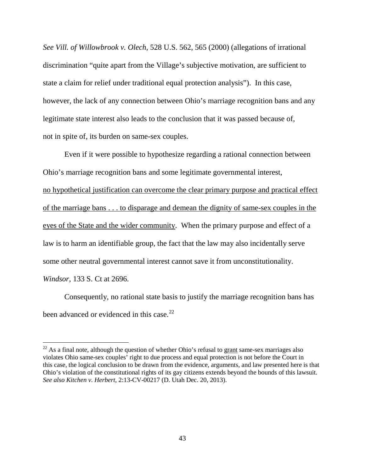*See Vill. of Willowbrook v. Olech*, 528 U.S. 562, 565 (2000) (allegations of irrational discrimination "quite apart from the Village's subjective motivation, are sufficient to state a claim for relief under traditional equal protection analysis"). In this case, however, the lack of any connection between Ohio's marriage recognition bans and any legitimate state interest also leads to the conclusion that it was passed because of, not in spite of, its burden on same-sex couples.

Even if it were possible to hypothesize regarding a rational connection between Ohio's marriage recognition bans and some legitimate governmental interest, no hypothetical justification can overcome the clear primary purpose and practical effect of the marriage bans . . . to disparage and demean the dignity of same-sex couples in the eyes of the State and the wider community. When the primary purpose and effect of a law is to harm an identifiable group, the fact that the law may also incidentally serve some other neutral governmental interest cannot save it from unconstitutionality. *Windsor*, 133 S. Ct at 2696.

 Consequently, no rational state basis to justify the marriage recognition bans has been advanced or evidenced in this case.<sup>[22](#page-42-0)</sup>

<u>.</u>

<span id="page-42-0"></span> $22$  As a final note, although the question of whether Ohio's refusal to grant same-sex marriages also violates Ohio same-sex couples' right to due process and equal protection is not before the Court in this case, the logical conclusion to be drawn from the evidence, arguments, and law presented here is that Ohio's violation of the constitutional rights of its gay citizens extends beyond the bounds of this lawsuit. *See also Kitchen v. Herbert*, 2:13-CV-00217 (D. Utah Dec. 20, 2013).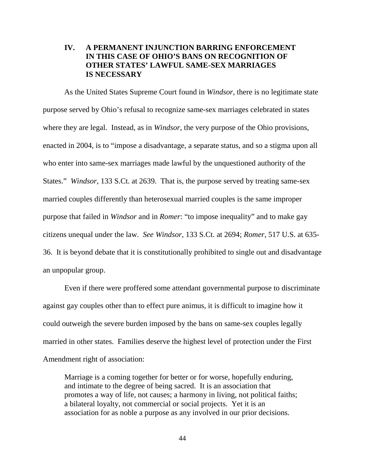# **IV. A PERMANENT INJUNCTION BARRING ENFORCEMENT IN THIS CASE OF OHIO'S BANS ON RECOGNITION OF OTHER STATES' LAWFUL SAME-SEX MARRIAGES IS NECESSARY**

As the United States Supreme Court found in *Windsor*, there is no legitimate state purpose served by Ohio's refusal to recognize same-sex marriages celebrated in states where they are legal. Instead, as in *Windsor*, the very purpose of the Ohio provisions, enacted in 2004, is to "impose a disadvantage, a separate status, and so a stigma upon all who enter into same-sex marriages made lawful by the unquestioned authority of the States." *Windsor*, 133 S.Ct. at 2639. That is, the purpose served by treating same-sex married couples differently than heterosexual married couples is the same improper purpose that failed in *Windsor* and in *Romer*: "to impose inequality" and to make gay citizens unequal under the law. *See Windsor*, 133 S.Ct. at 2694; *Romer*, 517 U.S. at 635- 36. It is beyond debate that it is constitutionally prohibited to single out and disadvantage an unpopular group.

 Even if there were proffered some attendant governmental purpose to discriminate against gay couples other than to effect pure animus, it is difficult to imagine how it could outweigh the severe burden imposed by the bans on same-sex couples legally married in other states. Families deserve the highest level of protection under the First Amendment right of association:

Marriage is a coming together for better or for worse, hopefully enduring, and intimate to the degree of being sacred. It is an association that promotes a way of life, not causes; a harmony in living, not political faiths; a bilateral loyalty, not commercial or social projects. Yet it is an association for as noble a purpose as any involved in our prior decisions.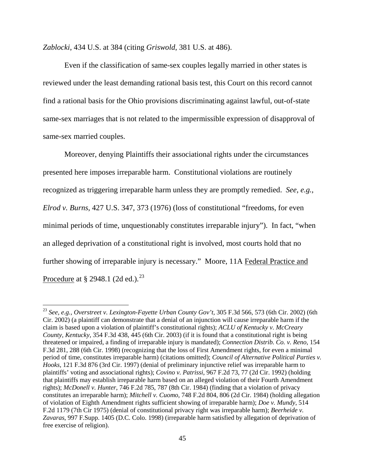*Zablocki*, 434 U.S. at 384 (citing *Griswold*, 381 U.S. at 486).

 $\overline{a}$ 

Even if the classification of same-sex couples legally married in other states is reviewed under the least demanding rational basis test, this Court on this record cannot find a rational basis for the Ohio provisions discriminating against lawful, out-of-state same-sex marriages that is not related to the impermissible expression of disapproval of same-sex married couples.

 Moreover, denying Plaintiffs their associational rights under the circumstances presented here imposes irreparable harm. Constitutional violations are routinely recognized as triggering irreparable harm unless they are promptly remedied. *See, e.g., Elrod v. Burns*, 427 U.S. 347, 373 (1976) (loss of constitutional "freedoms, for even minimal periods of time, unquestionably constitutes irreparable injury"). In fact, "when an alleged deprivation of a constitutional right is involved, most courts hold that no further showing of irreparable injury is necessary." Moore, 11A Federal Practice and Procedure at  $\S 2948.1$  (2d ed.).<sup>[23](#page-44-0)</sup>

<span id="page-44-0"></span><sup>23</sup> *See, e.g., Overstreet v. Lexington-Fayette Urban County Gov't,* 305 F.3d 566, 573 (6th Cir. 2002) (6th Cir. 2002) (a plaintiff can demonstrate that a denial of an injunction will cause irreparable harm if the claim is based upon a violation of plaintiff's constitutional rights); *ACLU of Kentucky v. McCreary County, Kentucky*, 354 F.3d 438, 445 (6th Cir. 2003) (if it is found that a constitutional right is being threatened or impaired, a finding of irreparable injury is mandated); *Connection Distrib. Co. v. Reno*, 154 F.3d 281, 288 (6th Cir. 1998) (recognizing that the loss of First Amendment rights, for even a minimal period of time, constitutes irreparable harm) (citations omitted); *Council of Alternative Political Parties v. Hooks*, 121 F.3d 876 (3rd Cir. 1997) (denial of preliminary injunctive relief was irreparable harm to plaintiffs' voting and associational rights); *Covino v. Patrissi*, 967 F.2d 73, 77 (2d Cir. 1992) (holding that plaintiffs may establish irreparable harm based on an alleged violation of their Fourth Amendment rights); *McDonell v. Hunter*, 746 F.2d 785, 787 (8th Cir. 1984) (finding that a violation of privacy constitutes an irreparable harm); *Mitchell v. Cuomo*, 748 F.2d 804, 806 (2d Cir. 1984) (holding allegation of violation of Eighth Amendment rights sufficient showing of irreparable harm); *Doe v. Mundy*, 514 F.2d 1179 (7th Cir 1975) (denial of constitutional privacy right was irreparable harm); *Beerheide v. Zavaras*, 997 F.Supp. 1405 (D.C. Colo. 1998) (irreparable harm satisfied by allegation of deprivation of free exercise of religion).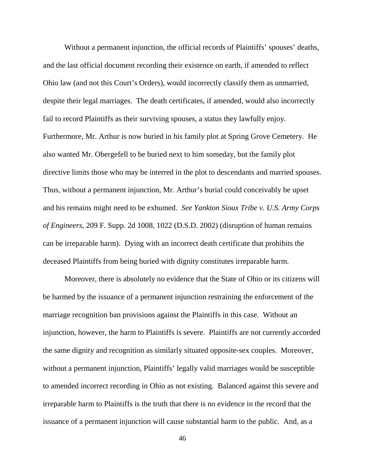Without a permanent injunction, the official records of Plaintiffs' spouses' deaths, and the last official document recording their existence on earth, if amended to reflect Ohio law (and not this Court's Orders), would incorrectly classify them as unmarried, despite their legal marriages. The death certificates, if amended, would also incorrectly fail to record Plaintiffs as their surviving spouses, a status they lawfully enjoy. Furthermore, Mr. Arthur is now buried in his family plot at Spring Grove Cemetery. He also wanted Mr. Obergefell to be buried next to him someday, but the family plot directive limits those who may be interred in the plot to descendants and married spouses. Thus, without a permanent injunction, Mr. Arthur's burial could conceivably be upset and his remains might need to be exhumed. *See Yankton Sioux Tribe v. U.S. Army Corps of Engineers*, 209 F. Supp. 2d 1008, 1022 (D.S.D. 2002) (disruption of human remains can be irreparable harm). Dying with an incorrect death certificate that prohibits the deceased Plaintiffs from being buried with dignity constitutes irreparable harm.

 Moreover, there is absolutely no evidence that the State of Ohio or its citizens will be harmed by the issuance of a permanent injunction restraining the enforcement of the marriage recognition ban provisions against the Plaintiffs in this case. Without an injunction, however, the harm to Plaintiffs is severe. Plaintiffs are not currently accorded the same dignity and recognition as similarly situated opposite-sex couples. Moreover, without a permanent injunction, Plaintiffs' legally valid marriages would be susceptible to amended incorrect recording in Ohio as not existing. Balanced against this severe and irreparable harm to Plaintiffs is the truth that there is no evidence in the record that the issuance of a permanent injunction will cause substantial harm to the public. And, as a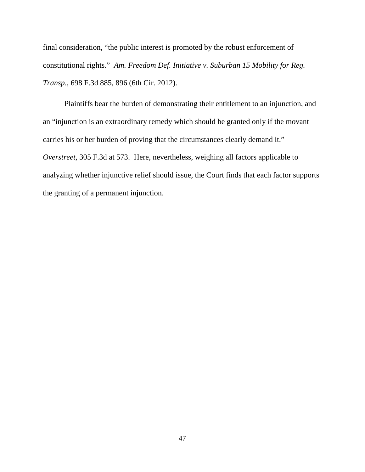final consideration, "the public interest is promoted by the robust enforcement of constitutional rights." *Am. Freedom Def. Initiative v. Suburban 15 Mobility for Reg. Transp*., 698 F.3d 885, 896 (6th Cir. 2012).

Plaintiffs bear the burden of demonstrating their entitlement to an injunction, and an "injunction is an extraordinary remedy which should be granted only if the movant carries his or her burden of proving that the circumstances clearly demand it." *Overstreet*, 305 F.3d at 573. Here, nevertheless, weighing all factors applicable to analyzing whether injunctive relief should issue, the Court finds that each factor supports the granting of a permanent injunction.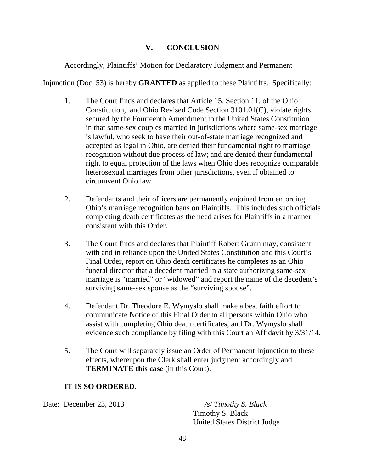# **V. CONCLUSION**

Accordingly, Plaintiffs' Motion for Declaratory Judgment and Permanent

Injunction (Doc. 53) is hereby **GRANTED** as applied to these Plaintiffs. Specifically:

- 1. The Court finds and declares that Article 15, Section 11, of the Ohio Constitution, and Ohio Revised Code Section 3101.01(C), violate rights secured by the Fourteenth Amendment to the United States Constitution in that same-sex couples married in jurisdictions where same-sex marriage is lawful, who seek to have their out-of-state marriage recognized and accepted as legal in Ohio, are denied their fundamental right to marriage recognition without due process of law; and are denied their fundamental right to equal protection of the laws when Ohio does recognize comparable heterosexual marriages from other jurisdictions, even if obtained to circumvent Ohio law.
- 2. Defendants and their officers are permanently enjoined from enforcing Ohio's marriage recognition bans on Plaintiffs. This includes such officials completing death certificates as the need arises for Plaintiffs in a manner consistent with this Order.
- 3. The Court finds and declares that Plaintiff Robert Grunn may, consistent with and in reliance upon the United States Constitution and this Court's Final Order, report on Ohio death certificates he completes as an Ohio funeral director that a decedent married in a state authorizing same-sex marriage is "married" or "widowed" and report the name of the decedent's surviving same-sex spouse as the "surviving spouse".
- 4. Defendant Dr. Theodore E. Wymyslo shall make a best faith effort to communicate Notice of this Final Order to all persons within Ohio who assist with completing Ohio death certificates, and Dr. Wymyslo shall evidence such compliance by filing with this Court an Affidavit by 3/31/14.
- 5. The Court will separately issue an Order of Permanent Injunction to these effects, whereupon the Clerk shall enter judgment accordingly and **TERMINATE this case** (in this Court).

# **IT IS SO ORDERED.**

Date: December 23, 2013 */s/ Timothy S. Black*

 Timothy S. Black United States District Judge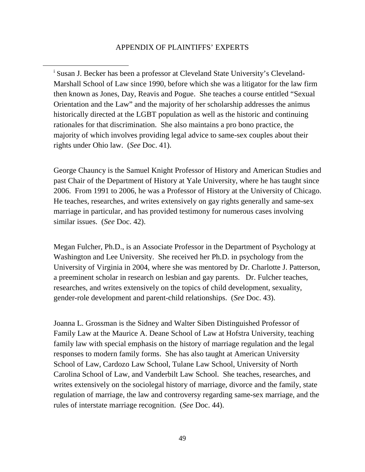<span id="page-48-0"></span> $\overline{a}$ 

<sup>i</sup> Susan J. Becker has been a professor at Cleveland State University's Cleveland-Marshall School of Law since 1990, before which she was a litigator for the law firm then known as Jones, Day, Reavis and Pogue. She teaches a course entitled "Sexual Orientation and the Law" and the majority of her scholarship addresses the animus historically directed at the LGBT population as well as the historic and continuing rationales for that discrimination. She also maintains a pro bono practice, the majority of which involves providing legal advice to same-sex couples about their rights under Ohio law. (*See* Doc. 41).

George Chauncy is the Samuel Knight Professor of History and American Studies and past Chair of the Department of History at Yale University, where he has taught since 2006. From 1991 to 2006, he was a Professor of History at the University of Chicago. He teaches, researches, and writes extensively on gay rights generally and same-sex marriage in particular, and has provided testimony for numerous cases involving similar issues. (*See* Doc. 42).

Megan Fulcher, Ph.D., is an Associate Professor in the Department of Psychology at Washington and Lee University. She received her Ph.D. in psychology from the University of Virginia in 2004, where she was mentored by Dr. Charlotte J. Patterson, a preeminent scholar in research on lesbian and gay parents. Dr. Fulcher teaches, researches, and writes extensively on the topics of child development, sexuality, gender-role development and parent-child relationships. (*See* Doc. 43).

Joanna L. Grossman is the Sidney and Walter Siben Distinguished Professor of Family Law at the Maurice A. Deane School of Law at Hofstra University, teaching family law with special emphasis on the history of marriage regulation and the legal responses to modern family forms. She has also taught at American University School of Law, Cardozo Law School, Tulane Law School, University of North Carolina School of Law, and Vanderbilt Law School. She teaches, researches, and writes extensively on the sociolegal history of marriage, divorce and the family, state regulation of marriage, the law and controversy regarding same-sex marriage, and the rules of interstate marriage recognition. (*See* Doc. 44).